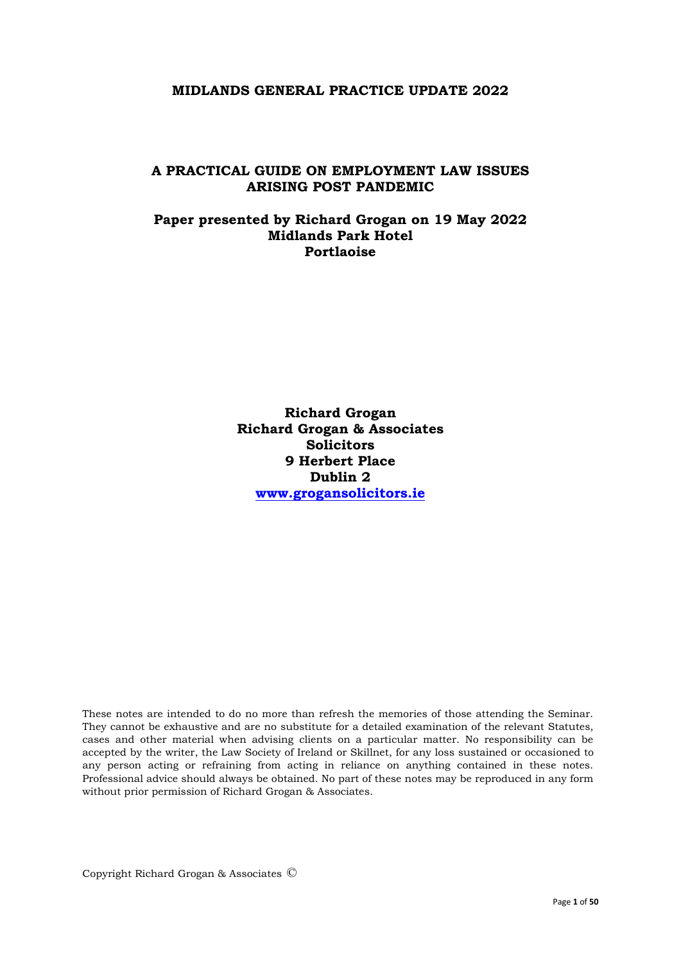#### **MIDLANDS GENERAL PRACTICE UPDATE 2022**

#### **A PRACTICAL GUIDE ON EMPLOYMENT LAW ISSUES ARISING POST PANDEMIC**

### **Paper presented by Richard Grogan on 19 May 2022 Midlands Park Hotel Portlaoise**

**Richard Grogan Richard Grogan & Associates Solicitors 9 Herbert Place Dublin 2 [www.grogansolicitors.ie](http://www.grogansolicitors.ie/)**

These notes are intended to do no more than refresh the memories of those attending the Seminar. They cannot be exhaustive and are no substitute for a detailed examination of the relevant Statutes, cases and other material when advising clients on a particular matter. No responsibility can be accepted by the writer, the Law Society of Ireland or Skillnet, for any loss sustained or occasioned to any person acting or refraining from acting in reliance on anything contained in these notes. Professional advice should always be obtained. No part of these notes may be reproduced in any form without prior permission of Richard Grogan & Associates.

Copyright Richard Grogan & Associates ©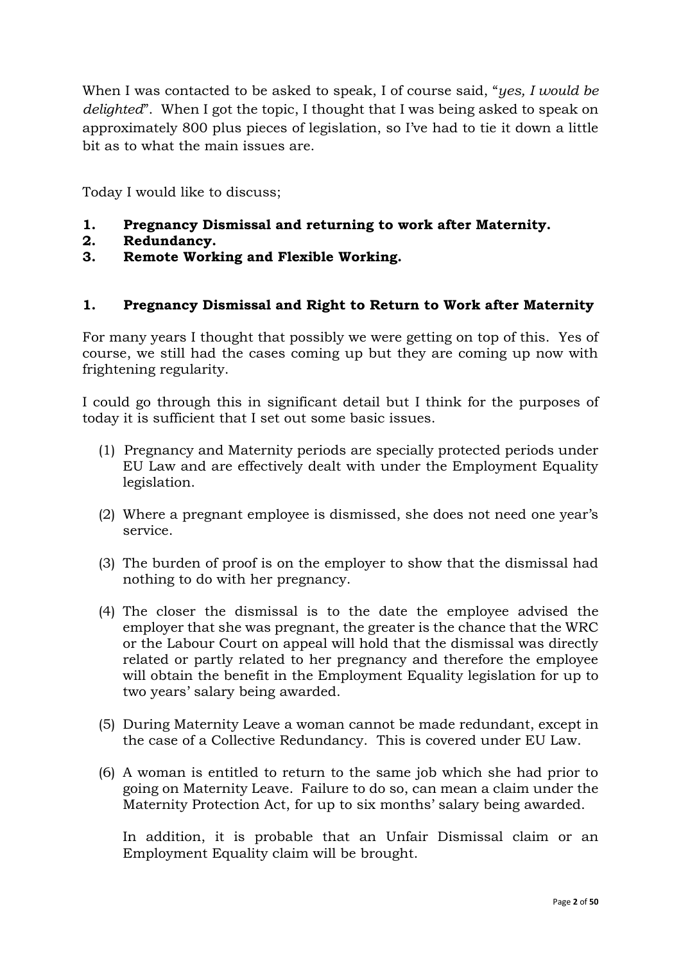When I was contacted to be asked to speak, I of course said, "*yes, I would be delighted*". When I got the topic, I thought that I was being asked to speak on approximately 800 plus pieces of legislation, so I've had to tie it down a little bit as to what the main issues are.

Today I would like to discuss;

- **1. Pregnancy Dismissal and returning to work after Maternity.**
- **2. Redundancy.**
- **3. Remote Working and Flexible Working.**

## **1. Pregnancy Dismissal and Right to Return to Work after Maternity**

For many years I thought that possibly we were getting on top of this. Yes of course, we still had the cases coming up but they are coming up now with frightening regularity.

I could go through this in significant detail but I think for the purposes of today it is sufficient that I set out some basic issues.

- (1) Pregnancy and Maternity periods are specially protected periods under EU Law and are effectively dealt with under the Employment Equality legislation.
- (2) Where a pregnant employee is dismissed, she does not need one year's service.
- (3) The burden of proof is on the employer to show that the dismissal had nothing to do with her pregnancy.
- (4) The closer the dismissal is to the date the employee advised the employer that she was pregnant, the greater is the chance that the WRC or the Labour Court on appeal will hold that the dismissal was directly related or partly related to her pregnancy and therefore the employee will obtain the benefit in the Employment Equality legislation for up to two years' salary being awarded.
- (5) During Maternity Leave a woman cannot be made redundant, except in the case of a Collective Redundancy. This is covered under EU Law.
- (6) A woman is entitled to return to the same job which she had prior to going on Maternity Leave. Failure to do so, can mean a claim under the Maternity Protection Act, for up to six months' salary being awarded.

In addition, it is probable that an Unfair Dismissal claim or an Employment Equality claim will be brought.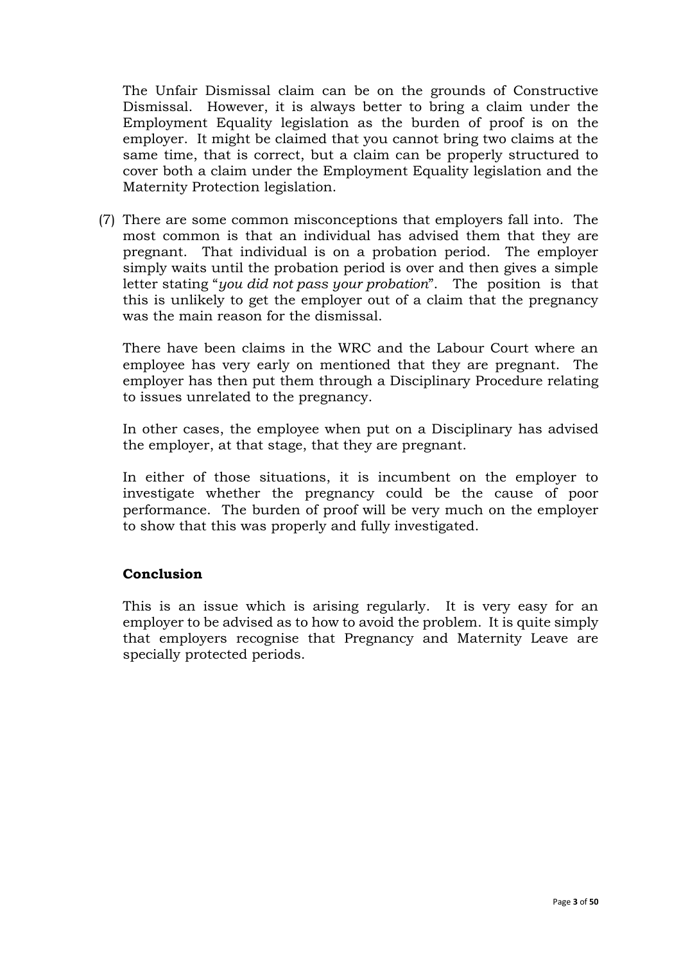The Unfair Dismissal claim can be on the grounds of Constructive Dismissal. However, it is always better to bring a claim under the Employment Equality legislation as the burden of proof is on the employer. It might be claimed that you cannot bring two claims at the same time, that is correct, but a claim can be properly structured to cover both a claim under the Employment Equality legislation and the Maternity Protection legislation.

(7) There are some common misconceptions that employers fall into. The most common is that an individual has advised them that they are pregnant. That individual is on a probation period. The employer simply waits until the probation period is over and then gives a simple letter stating "*you did not pass your probation*". The position is that this is unlikely to get the employer out of a claim that the pregnancy was the main reason for the dismissal.

There have been claims in the WRC and the Labour Court where an employee has very early on mentioned that they are pregnant. The employer has then put them through a Disciplinary Procedure relating to issues unrelated to the pregnancy.

In other cases, the employee when put on a Disciplinary has advised the employer, at that stage, that they are pregnant.

In either of those situations, it is incumbent on the employer to investigate whether the pregnancy could be the cause of poor performance. The burden of proof will be very much on the employer to show that this was properly and fully investigated.

## **Conclusion**

This is an issue which is arising regularly. It is very easy for an employer to be advised as to how to avoid the problem. It is quite simply that employers recognise that Pregnancy and Maternity Leave are specially protected periods.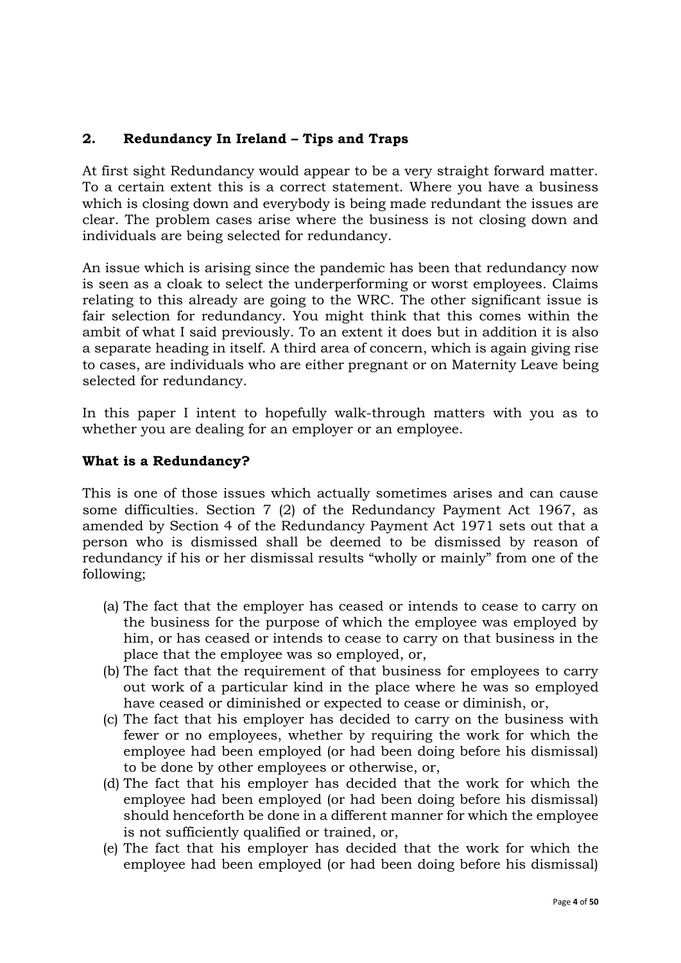# **2. Redundancy In Ireland – Tips and Traps**

At first sight Redundancy would appear to be a very straight forward matter. To a certain extent this is a correct statement. Where you have a business which is closing down and everybody is being made redundant the issues are clear. The problem cases arise where the business is not closing down and individuals are being selected for redundancy.

An issue which is arising since the pandemic has been that redundancy now is seen as a cloak to select the underperforming or worst employees. Claims relating to this already are going to the WRC. The other significant issue is fair selection for redundancy. You might think that this comes within the ambit of what I said previously. To an extent it does but in addition it is also a separate heading in itself. A third area of concern, which is again giving rise to cases, are individuals who are either pregnant or on Maternity Leave being selected for redundancy.

In this paper I intent to hopefully walk-through matters with you as to whether you are dealing for an employer or an employee.

## **What is a Redundancy?**

This is one of those issues which actually sometimes arises and can cause some difficulties. Section 7 (2) of the Redundancy Payment Act 1967, as amended by Section 4 of the Redundancy Payment Act 1971 sets out that a person who is dismissed shall be deemed to be dismissed by reason of redundancy if his or her dismissal results "wholly or mainly" from one of the following;

- (a) The fact that the employer has ceased or intends to cease to carry on the business for the purpose of which the employee was employed by him, or has ceased or intends to cease to carry on that business in the place that the employee was so employed, or,
- (b) The fact that the requirement of that business for employees to carry out work of a particular kind in the place where he was so employed have ceased or diminished or expected to cease or diminish, or,
- (c) The fact that his employer has decided to carry on the business with fewer or no employees, whether by requiring the work for which the employee had been employed (or had been doing before his dismissal) to be done by other employees or otherwise, or,
- (d) The fact that his employer has decided that the work for which the employee had been employed (or had been doing before his dismissal) should henceforth be done in a different manner for which the employee is not sufficiently qualified or trained, or,
- (e) The fact that his employer has decided that the work for which the employee had been employed (or had been doing before his dismissal)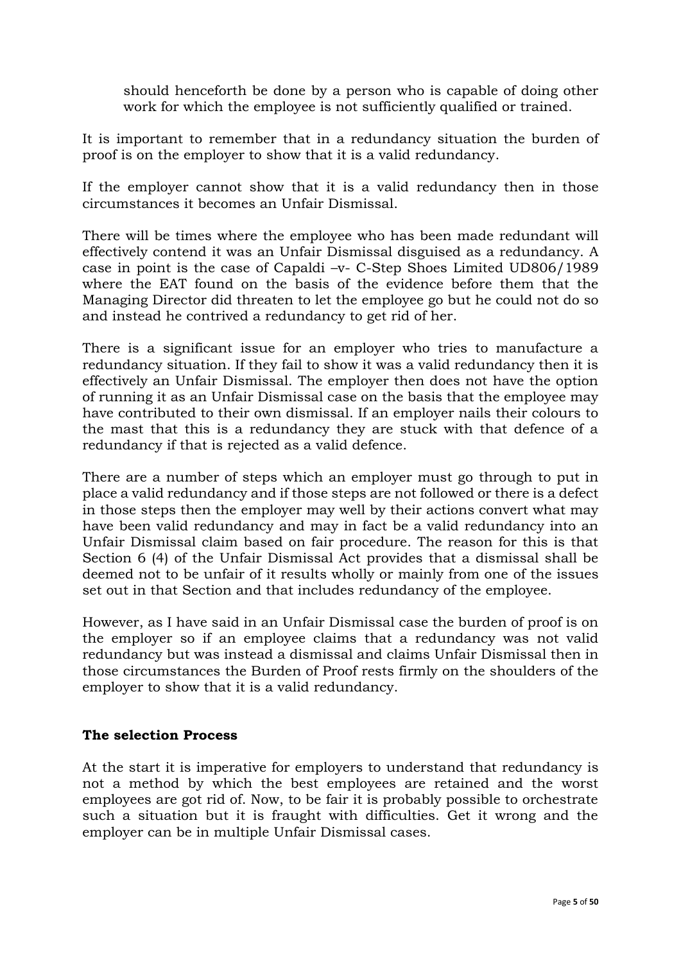should henceforth be done by a person who is capable of doing other work for which the employee is not sufficiently qualified or trained.

It is important to remember that in a redundancy situation the burden of proof is on the employer to show that it is a valid redundancy.

If the employer cannot show that it is a valid redundancy then in those circumstances it becomes an Unfair Dismissal.

There will be times where the employee who has been made redundant will effectively contend it was an Unfair Dismissal disguised as a redundancy. A case in point is the case of Capaldi –v- C-Step Shoes Limited UD806/1989 where the EAT found on the basis of the evidence before them that the Managing Director did threaten to let the employee go but he could not do so and instead he contrived a redundancy to get rid of her.

There is a significant issue for an employer who tries to manufacture a redundancy situation. If they fail to show it was a valid redundancy then it is effectively an Unfair Dismissal. The employer then does not have the option of running it as an Unfair Dismissal case on the basis that the employee may have contributed to their own dismissal. If an employer nails their colours to the mast that this is a redundancy they are stuck with that defence of a redundancy if that is rejected as a valid defence.

There are a number of steps which an employer must go through to put in place a valid redundancy and if those steps are not followed or there is a defect in those steps then the employer may well by their actions convert what may have been valid redundancy and may in fact be a valid redundancy into an Unfair Dismissal claim based on fair procedure. The reason for this is that Section 6 (4) of the Unfair Dismissal Act provides that a dismissal shall be deemed not to be unfair of it results wholly or mainly from one of the issues set out in that Section and that includes redundancy of the employee.

However, as I have said in an Unfair Dismissal case the burden of proof is on the employer so if an employee claims that a redundancy was not valid redundancy but was instead a dismissal and claims Unfair Dismissal then in those circumstances the Burden of Proof rests firmly on the shoulders of the employer to show that it is a valid redundancy.

## **The selection Process**

At the start it is imperative for employers to understand that redundancy is not a method by which the best employees are retained and the worst employees are got rid of. Now, to be fair it is probably possible to orchestrate such a situation but it is fraught with difficulties. Get it wrong and the employer can be in multiple Unfair Dismissal cases.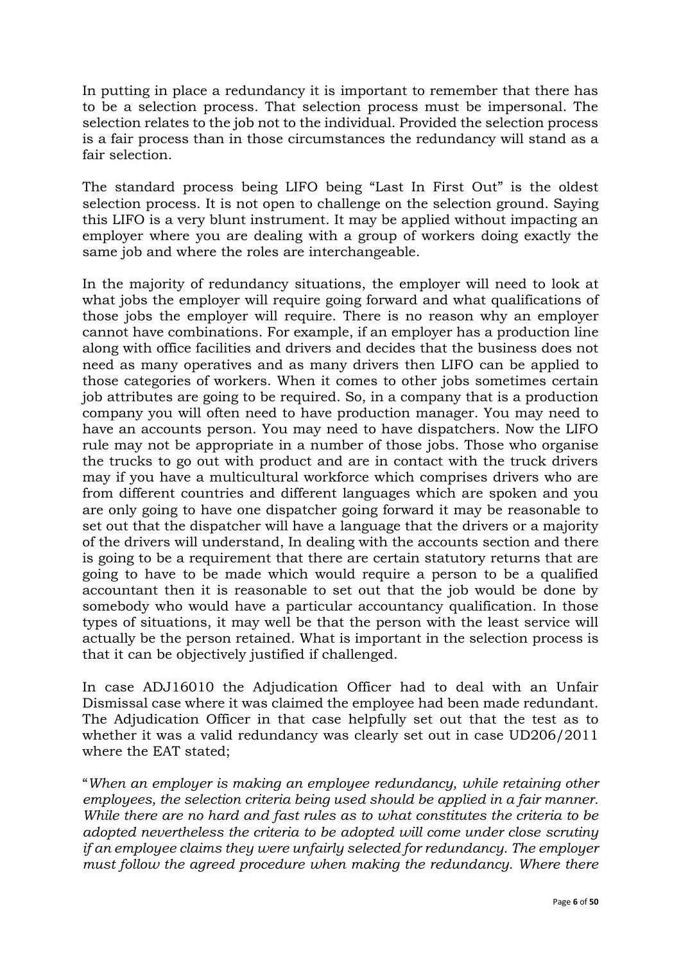In putting in place a redundancy it is important to remember that there has to be a selection process. That selection process must be impersonal. The selection relates to the job not to the individual. Provided the selection process is a fair process than in those circumstances the redundancy will stand as a fair selection.

The standard process being LIFO being "Last In First Out" is the oldest selection process. It is not open to challenge on the selection ground. Saying this LIFO is a very blunt instrument. It may be applied without impacting an employer where you are dealing with a group of workers doing exactly the same job and where the roles are interchangeable.

In the majority of redundancy situations, the employer will need to look at what jobs the employer will require going forward and what qualifications of those jobs the employer will require. There is no reason why an employer cannot have combinations. For example, if an employer has a production line along with office facilities and drivers and decides that the business does not need as many operatives and as many drivers then LIFO can be applied to those categories of workers. When it comes to other jobs sometimes certain job attributes are going to be required. So, in a company that is a production company you will often need to have production manager. You may need to have an accounts person. You may need to have dispatchers. Now the LIFO rule may not be appropriate in a number of those jobs. Those who organise the trucks to go out with product and are in contact with the truck drivers may if you have a multicultural workforce which comprises drivers who are from different countries and different languages which are spoken and you are only going to have one dispatcher going forward it may be reasonable to set out that the dispatcher will have a language that the drivers or a majority of the drivers will understand, In dealing with the accounts section and there is going to be a requirement that there are certain statutory returns that are going to have to be made which would require a person to be a qualified accountant then it is reasonable to set out that the job would be done by somebody who would have a particular accountancy qualification. In those types of situations, it may well be that the person with the least service will actually be the person retained. What is important in the selection process is that it can be objectively justified if challenged.

In case ADJ16010 the Adjudication Officer had to deal with an Unfair Dismissal case where it was claimed the employee had been made redundant. The Adjudication Officer in that case helpfully set out that the test as to whether it was a valid redundancy was clearly set out in case UD206/2011 where the EAT stated;

"*When an employer is making an employee redundancy, while retaining other employees, the selection criteria being used should be applied in a fair manner. While there are no hard and fast rules as to what constitutes the criteria to be adopted nevertheless the criteria to be adopted will come under close scrutiny if an employee claims they were unfairly selected for redundancy. The employer*  must follow the agreed procedure when making the redundancy. Where there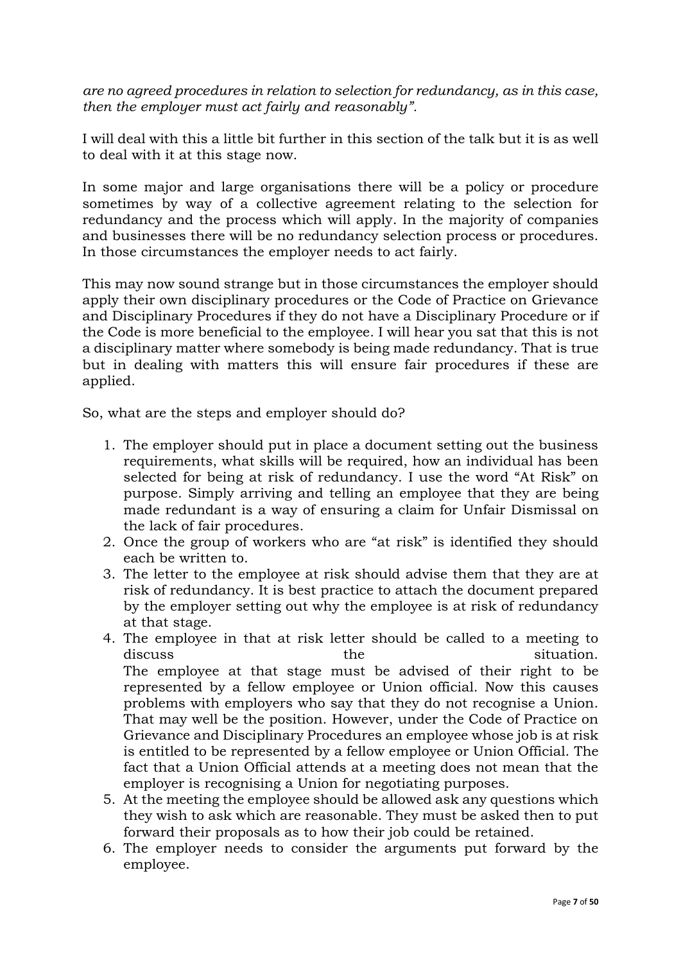*are no agreed procedures in relation to selection for redundancy, as in this case, then the employer must act fairly and reasonably".* 

I will deal with this a little bit further in this section of the talk but it is as well to deal with it at this stage now.

In some major and large organisations there will be a policy or procedure sometimes by way of a collective agreement relating to the selection for redundancy and the process which will apply. In the majority of companies and businesses there will be no redundancy selection process or procedures. In those circumstances the employer needs to act fairly.

This may now sound strange but in those circumstances the employer should apply their own disciplinary procedures or the Code of Practice on Grievance and Disciplinary Procedures if they do not have a Disciplinary Procedure or if the Code is more beneficial to the employee. I will hear you sat that this is not a disciplinary matter where somebody is being made redundancy. That is true but in dealing with matters this will ensure fair procedures if these are applied.

So, what are the steps and employer should do?

- 1. The employer should put in place a document setting out the business requirements, what skills will be required, how an individual has been selected for being at risk of redundancy. I use the word "At Risk" on purpose. Simply arriving and telling an employee that they are being made redundant is a way of ensuring a claim for Unfair Dismissal on the lack of fair procedures.
- 2. Once the group of workers who are "at risk" is identified they should each be written to.
- 3. The letter to the employee at risk should advise them that they are at risk of redundancy. It is best practice to attach the document prepared by the employer setting out why the employee is at risk of redundancy at that stage.
- 4. The employee in that at risk letter should be called to a meeting to discuss the situation. The employee at that stage must be advised of their right to be represented by a fellow employee or Union official. Now this causes problems with employers who say that they do not recognise a Union. That may well be the position. However, under the Code of Practice on Grievance and Disciplinary Procedures an employee whose job is at risk is entitled to be represented by a fellow employee or Union Official. The fact that a Union Official attends at a meeting does not mean that the employer is recognising a Union for negotiating purposes.
- 5. At the meeting the employee should be allowed ask any questions which they wish to ask which are reasonable. They must be asked then to put forward their proposals as to how their job could be retained.
- 6. The employer needs to consider the arguments put forward by the employee.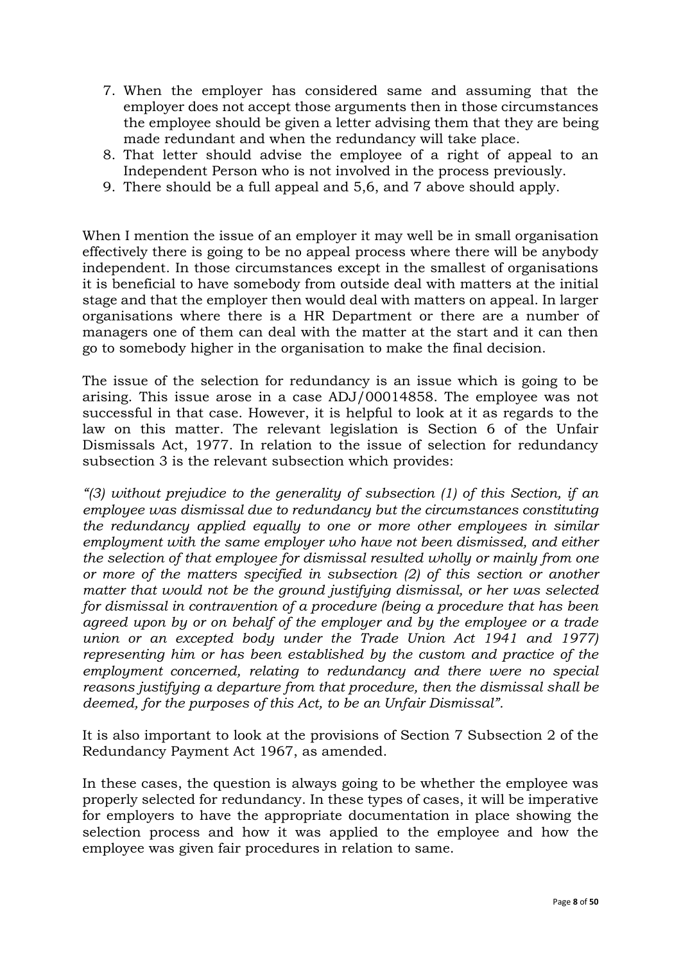- 7. When the employer has considered same and assuming that the employer does not accept those arguments then in those circumstances the employee should be given a letter advising them that they are being made redundant and when the redundancy will take place.
- 8. That letter should advise the employee of a right of appeal to an Independent Person who is not involved in the process previously.
- 9. There should be a full appeal and 5,6, and 7 above should apply.

When I mention the issue of an employer it may well be in small organisation effectively there is going to be no appeal process where there will be anybody independent. In those circumstances except in the smallest of organisations it is beneficial to have somebody from outside deal with matters at the initial stage and that the employer then would deal with matters on appeal. In larger organisations where there is a HR Department or there are a number of managers one of them can deal with the matter at the start and it can then go to somebody higher in the organisation to make the final decision.

The issue of the selection for redundancy is an issue which is going to be arising. This issue arose in a case ADJ/00014858. The employee was not successful in that case. However, it is helpful to look at it as regards to the law on this matter. The relevant legislation is Section 6 of the Unfair Dismissals Act, 1977. In relation to the issue of selection for redundancy subsection 3 is the relevant subsection which provides:

*"(3) without prejudice to the generality of subsection (1) of this Section, if an employee was dismissal due to redundancy but the circumstances constituting the redundancy applied equally to one or more other employees in similar employment with the same employer who have not been dismissed, and either the selection of that employee for dismissal resulted wholly or mainly from one or more of the matters specified in subsection (2) of this section or another matter that would not be the ground justifying dismissal, or her was selected for dismissal in contravention of a procedure (being a procedure that has been agreed upon by or on behalf of the employer and by the employee or a trade union or an excepted body under the Trade Union Act 1941 and 1977) representing him or has been established by the custom and practice of the employment concerned, relating to redundancy and there were no special reasons justifying a departure from that procedure, then the dismissal shall be deemed, for the purposes of this Act, to be an Unfair Dismissal".* 

It is also important to look at the provisions of Section 7 Subsection 2 of the Redundancy Payment Act 1967, as amended.

In these cases, the question is always going to be whether the employee was properly selected for redundancy. In these types of cases, it will be imperative for employers to have the appropriate documentation in place showing the selection process and how it was applied to the employee and how the employee was given fair procedures in relation to same.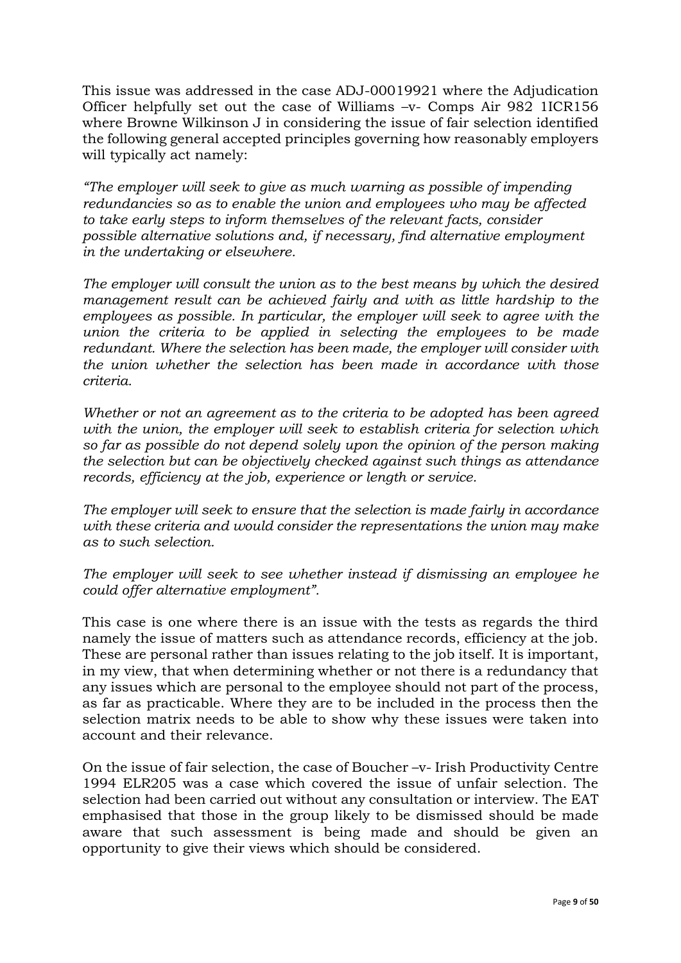This issue was addressed in the case ADJ-00019921 where the Adjudication Officer helpfully set out the case of Williams –v- Comps Air 982 1ICR156 where Browne Wilkinson J in considering the issue of fair selection identified the following general accepted principles governing how reasonably employers will typically act namely:

*"The employer will seek to give as much warning as possible of impending redundancies so as to enable the union and employees who may be affected to take early steps to inform themselves of the relevant facts, consider possible alternative solutions and, if necessary, find alternative employment in the undertaking or elsewhere.* 

*The employer will consult the union as to the best means by which the desired management result can be achieved fairly and with as little hardship to the employees as possible. In particular, the employer will seek to agree with the union the criteria to be applied in selecting the employees to be made redundant. Where the selection has been made, the employer will consider with the union whether the selection has been made in accordance with those criteria.* 

*Whether or not an agreement as to the criteria to be adopted has been agreed with the union, the employer will seek to establish criteria for selection which so far as possible do not depend solely upon the opinion of the person making the selection but can be objectively checked against such things as attendance records, efficiency at the job, experience or length or service.* 

*The employer will seek to ensure that the selection is made fairly in accordance with these criteria and would consider the representations the union may make as to such selection.* 

*The employer will seek to see whether instead if dismissing an employee he could offer alternative employment".* 

This case is one where there is an issue with the tests as regards the third namely the issue of matters such as attendance records, efficiency at the job. These are personal rather than issues relating to the job itself. It is important, in my view, that when determining whether or not there is a redundancy that any issues which are personal to the employee should not part of the process, as far as practicable. Where they are to be included in the process then the selection matrix needs to be able to show why these issues were taken into account and their relevance.

On the issue of fair selection, the case of Boucher –v- Irish Productivity Centre 1994 ELR205 was a case which covered the issue of unfair selection. The selection had been carried out without any consultation or interview. The EAT emphasised that those in the group likely to be dismissed should be made aware that such assessment is being made and should be given an opportunity to give their views which should be considered.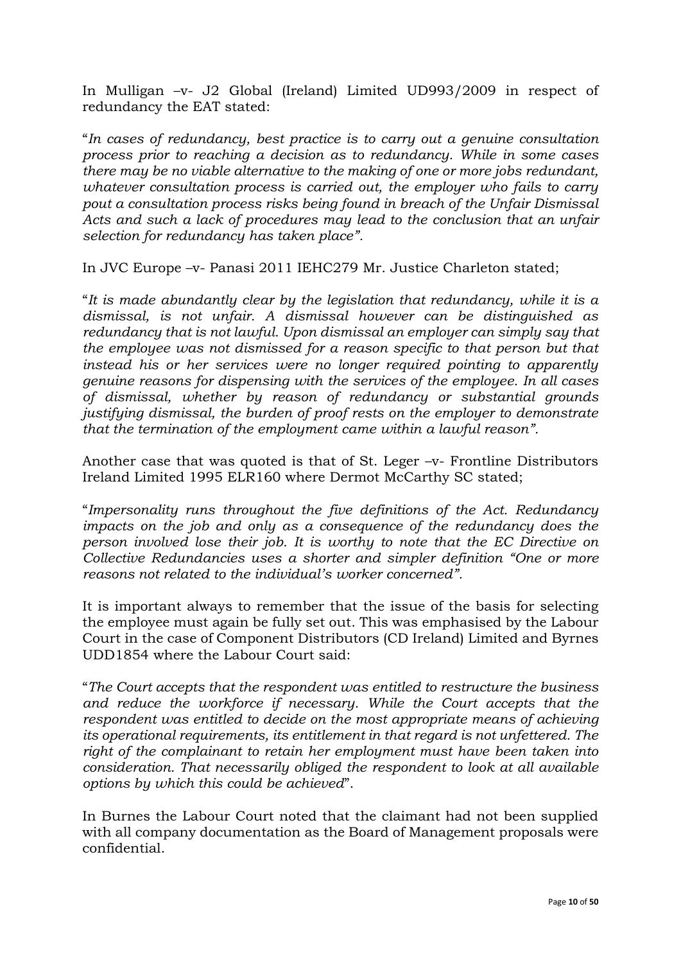In Mulligan –v- J2 Global (Ireland) Limited UD993/2009 in respect of redundancy the EAT stated:

"*In cases of redundancy, best practice is to carry out a genuine consultation process prior to reaching a decision as to redundancy. While in some cases there may be no viable alternative to the making of one or more jobs redundant, whatever consultation process is carried out, the employer who fails to carry pout a consultation process risks being found in breach of the Unfair Dismissal Acts and such a lack of procedures may lead to the conclusion that an unfair selection for redundancy has taken place".* 

In JVC Europe –v- Panasi 2011 IEHC279 Mr. Justice Charleton stated;

"*It is made abundantly clear by the legislation that redundancy, while it is a dismissal, is not unfair. A dismissal however can be distinguished as redundancy that is not lawful. Upon dismissal an employer can simply say that the employee was not dismissed for a reason specific to that person but that instead his or her services were no longer required pointing to apparently genuine reasons for dispensing with the services of the employee. In all cases of dismissal, whether by reason of redundancy or substantial grounds justifying dismissal, the burden of proof rests on the employer to demonstrate that the termination of the employment came within a lawful reason".* 

Another case that was quoted is that of St. Leger –v- Frontline Distributors Ireland Limited 1995 ELR160 where Dermot McCarthy SC stated;

"*Impersonality runs throughout the five definitions of the Act. Redundancy impacts on the job and only as a consequence of the redundancy does the person involved lose their job. It is worthy to note that the EC Directive on Collective Redundancies uses a shorter and simpler definition "One or more reasons not related to the individual's worker concerned".* 

It is important always to remember that the issue of the basis for selecting the employee must again be fully set out. This was emphasised by the Labour Court in the case of Component Distributors (CD Ireland) Limited and Byrnes UDD1854 where the Labour Court said:

"*The Court accepts that the respondent was entitled to restructure the business and reduce the workforce if necessary. While the Court accepts that the respondent was entitled to decide on the most appropriate means of achieving its operational requirements, its entitlement in that regard is not unfettered. The right of the complainant to retain her employment must have been taken into consideration. That necessarily obliged the respondent to look at all available options by which this could be achieved*".

In Burnes the Labour Court noted that the claimant had not been supplied with all company documentation as the Board of Management proposals were confidential.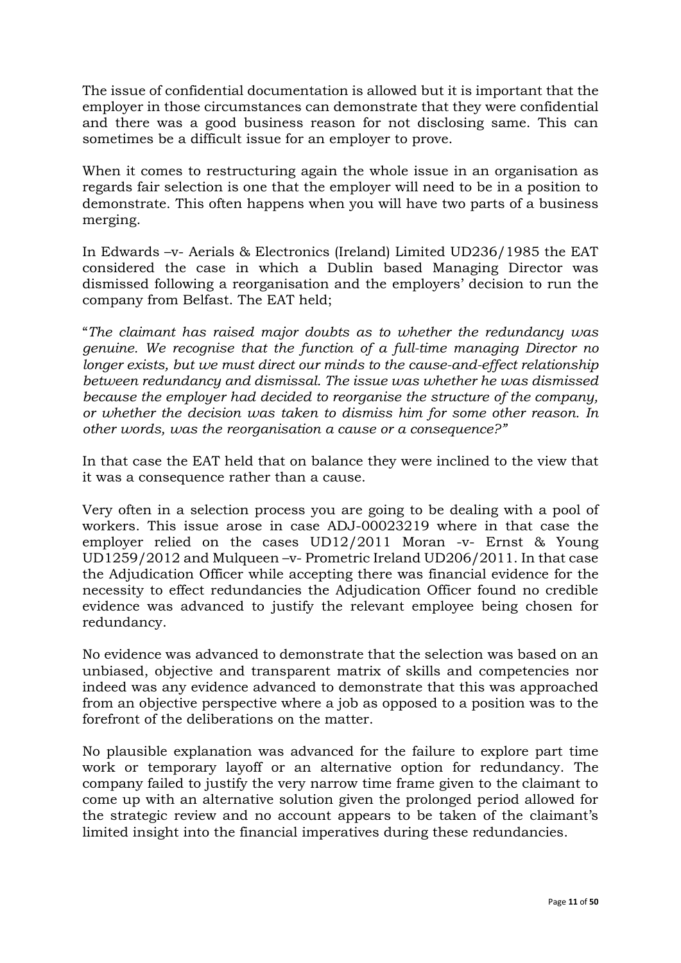The issue of confidential documentation is allowed but it is important that the employer in those circumstances can demonstrate that they were confidential and there was a good business reason for not disclosing same. This can sometimes be a difficult issue for an employer to prove.

When it comes to restructuring again the whole issue in an organisation as regards fair selection is one that the employer will need to be in a position to demonstrate. This often happens when you will have two parts of a business merging.

In Edwards –v- Aerials & Electronics (Ireland) Limited UD236/1985 the EAT considered the case in which a Dublin based Managing Director was dismissed following a reorganisation and the employers' decision to run the company from Belfast. The EAT held;

"*The claimant has raised major doubts as to whether the redundancy was genuine. We recognise that the function of a full-time managing Director no longer exists, but we must direct our minds to the cause-and-effect relationship between redundancy and dismissal. The issue was whether he was dismissed because the employer had decided to reorganise the structure of the company, or whether the decision was taken to dismiss him for some other reason. In other words, was the reorganisation a cause or a consequence?"*

In that case the EAT held that on balance they were inclined to the view that it was a consequence rather than a cause.

Very often in a selection process you are going to be dealing with a pool of workers. This issue arose in case ADJ-00023219 where in that case the employer relied on the cases UD12/2011 Moran -v- Ernst & Young UD1259/2012 and Mulqueen –v- Prometric Ireland UD206/2011. In that case the Adjudication Officer while accepting there was financial evidence for the necessity to effect redundancies the Adjudication Officer found no credible evidence was advanced to justify the relevant employee being chosen for redundancy.

No evidence was advanced to demonstrate that the selection was based on an unbiased, objective and transparent matrix of skills and competencies nor indeed was any evidence advanced to demonstrate that this was approached from an objective perspective where a job as opposed to a position was to the forefront of the deliberations on the matter.

No plausible explanation was advanced for the failure to explore part time work or temporary layoff or an alternative option for redundancy. The company failed to justify the very narrow time frame given to the claimant to come up with an alternative solution given the prolonged period allowed for the strategic review and no account appears to be taken of the claimant's limited insight into the financial imperatives during these redundancies.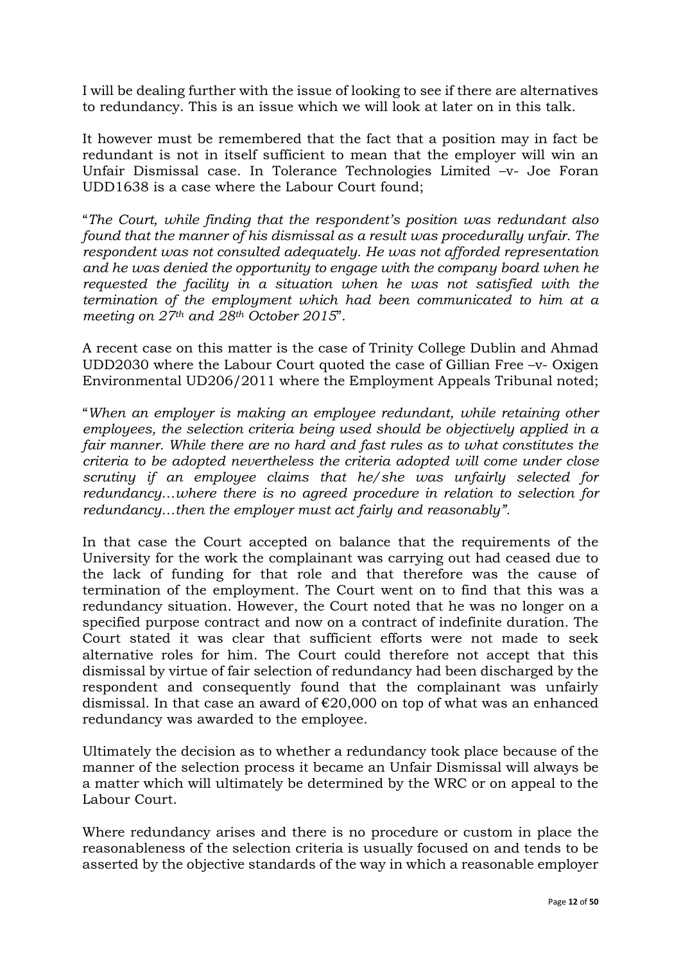I will be dealing further with the issue of looking to see if there are alternatives to redundancy. This is an issue which we will look at later on in this talk.

It however must be remembered that the fact that a position may in fact be redundant is not in itself sufficient to mean that the employer will win an Unfair Dismissal case. In Tolerance Technologies Limited –v- Joe Foran UDD1638 is a case where the Labour Court found;

"*The Court, while finding that the respondent's position was redundant also found that the manner of his dismissal as a result was procedurally unfair. The respondent was not consulted adequately. He was not afforded representation and he was denied the opportunity to engage with the company board when he requested the facility in a situation when he was not satisfied with the termination of the employment which had been communicated to him at a meeting on 27th and 28th October 2015*".

A recent case on this matter is the case of Trinity College Dublin and Ahmad UDD2030 where the Labour Court quoted the case of Gillian Free –v- Oxigen Environmental UD206/2011 where the Employment Appeals Tribunal noted;

"*When an employer is making an employee redundant, while retaining other employees, the selection criteria being used should be objectively applied in a fair manner. While there are no hard and fast rules as to what constitutes the criteria to be adopted nevertheless the criteria adopted will come under close scrutiny if an employee claims that he/she was unfairly selected for redundancy...where there is no agreed procedure in relation to selection for redundancy…then the employer must act fairly and reasonably".*

In that case the Court accepted on balance that the requirements of the University for the work the complainant was carrying out had ceased due to the lack of funding for that role and that therefore was the cause of termination of the employment. The Court went on to find that this was a redundancy situation. However, the Court noted that he was no longer on a specified purpose contract and now on a contract of indefinite duration. The Court stated it was clear that sufficient efforts were not made to seek alternative roles for him. The Court could therefore not accept that this dismissal by virtue of fair selection of redundancy had been discharged by the respondent and consequently found that the complainant was unfairly dismissal. In that case an award of €20,000 on top of what was an enhanced redundancy was awarded to the employee.

Ultimately the decision as to whether a redundancy took place because of the manner of the selection process it became an Unfair Dismissal will always be a matter which will ultimately be determined by the WRC or on appeal to the Labour Court.

Where redundancy arises and there is no procedure or custom in place the reasonableness of the selection criteria is usually focused on and tends to be asserted by the objective standards of the way in which a reasonable employer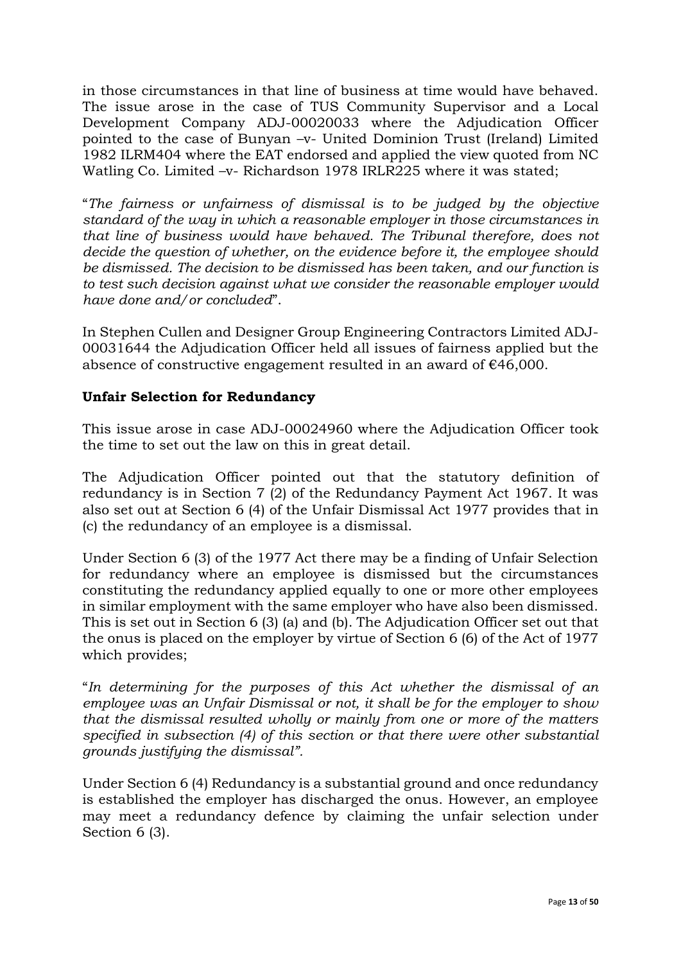in those circumstances in that line of business at time would have behaved. The issue arose in the case of TUS Community Supervisor and a Local Development Company ADJ-00020033 where the Adjudication Officer pointed to the case of Bunyan –v- United Dominion Trust (Ireland) Limited 1982 ILRM404 where the EAT endorsed and applied the view quoted from NC Watling Co. Limited -v- Richardson 1978 IRLR225 where it was stated;

"*The fairness or unfairness of dismissal is to be judged by the objective standard of the way in which a reasonable employer in those circumstances in that line of business would have behaved. The Tribunal therefore, does not decide the question of whether, on the evidence before it, the employee should be dismissed. The decision to be dismissed has been taken, and our function is to test such decision against what we consider the reasonable employer would have done and/or concluded*".

In Stephen Cullen and Designer Group Engineering Contractors Limited ADJ-00031644 the Adjudication Officer held all issues of fairness applied but the absence of constructive engagement resulted in an award of  $\epsilon$ 46,000.

## **Unfair Selection for Redundancy**

This issue arose in case ADJ-00024960 where the Adjudication Officer took the time to set out the law on this in great detail.

The Adjudication Officer pointed out that the statutory definition of redundancy is in Section 7 (2) of the Redundancy Payment Act 1967. It was also set out at Section 6 (4) of the Unfair Dismissal Act 1977 provides that in (c) the redundancy of an employee is a dismissal.

Under Section 6 (3) of the 1977 Act there may be a finding of Unfair Selection for redundancy where an employee is dismissed but the circumstances constituting the redundancy applied equally to one or more other employees in similar employment with the same employer who have also been dismissed. This is set out in Section 6 (3) (a) and (b). The Adjudication Officer set out that the onus is placed on the employer by virtue of Section 6 (6) of the Act of 1977 which provides;

"*In determining for the purposes of this Act whether the dismissal of an employee was an Unfair Dismissal or not, it shall be for the employer to show that the dismissal resulted wholly or mainly from one or more of the matters specified in subsection (4) of this section or that there were other substantial grounds justifying the dismissal".* 

Under Section 6 (4) Redundancy is a substantial ground and once redundancy is established the employer has discharged the onus. However, an employee may meet a redundancy defence by claiming the unfair selection under Section 6 (3).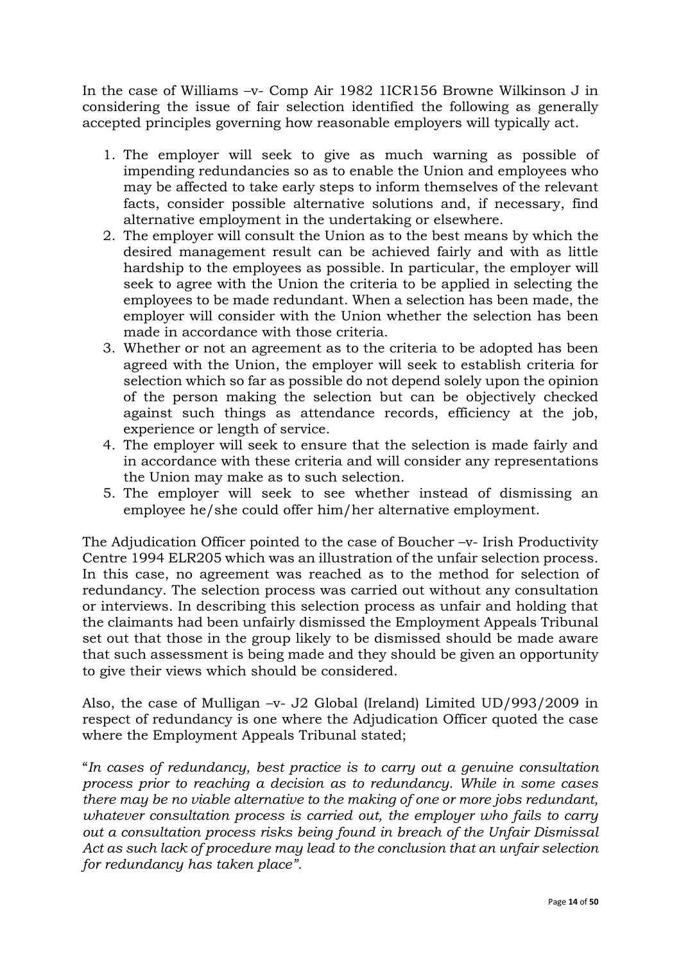In the case of Williams –v- Comp Air 1982 1ICR156 Browne Wilkinson J in considering the issue of fair selection identified the following as generally accepted principles governing how reasonable employers will typically act.

- 1. The employer will seek to give as much warning as possible of impending redundancies so as to enable the Union and employees who may be affected to take early steps to inform themselves of the relevant facts, consider possible alternative solutions and, if necessary, find alternative employment in the undertaking or elsewhere.
- 2. The employer will consult the Union as to the best means by which the desired management result can be achieved fairly and with as little hardship to the employees as possible. In particular, the employer will seek to agree with the Union the criteria to be applied in selecting the employees to be made redundant. When a selection has been made, the employer will consider with the Union whether the selection has been made in accordance with those criteria.
- 3. Whether or not an agreement as to the criteria to be adopted has been agreed with the Union, the employer will seek to establish criteria for selection which so far as possible do not depend solely upon the opinion of the person making the selection but can be objectively checked against such things as attendance records, efficiency at the job, experience or length of service.
- 4. The employer will seek to ensure that the selection is made fairly and in accordance with these criteria and will consider any representations the Union may make as to such selection.
- 5. The employer will seek to see whether instead of dismissing an employee he/she could offer him/her alternative employment.

The Adjudication Officer pointed to the case of Boucher –v- Irish Productivity Centre 1994 ELR205 which was an illustration of the unfair selection process. In this case, no agreement was reached as to the method for selection of redundancy. The selection process was carried out without any consultation or interviews. In describing this selection process as unfair and holding that the claimants had been unfairly dismissed the Employment Appeals Tribunal set out that those in the group likely to be dismissed should be made aware that such assessment is being made and they should be given an opportunity to give their views which should be considered.

Also, the case of Mulligan –v- J2 Global (Ireland) Limited UD/993/2009 in respect of redundancy is one where the Adjudication Officer quoted the case where the Employment Appeals Tribunal stated;

"*In cases of redundancy, best practice is to carry out a genuine consultation process prior to reaching a decision as to redundancy. While in some cases there may be no viable alternative to the making of one or more jobs redundant, whatever consultation process is carried out, the employer who fails to carry out a consultation process risks being found in breach of the Unfair Dismissal Act as such lack of procedure may lead to the conclusion that an unfair selection for redundancy has taken place".*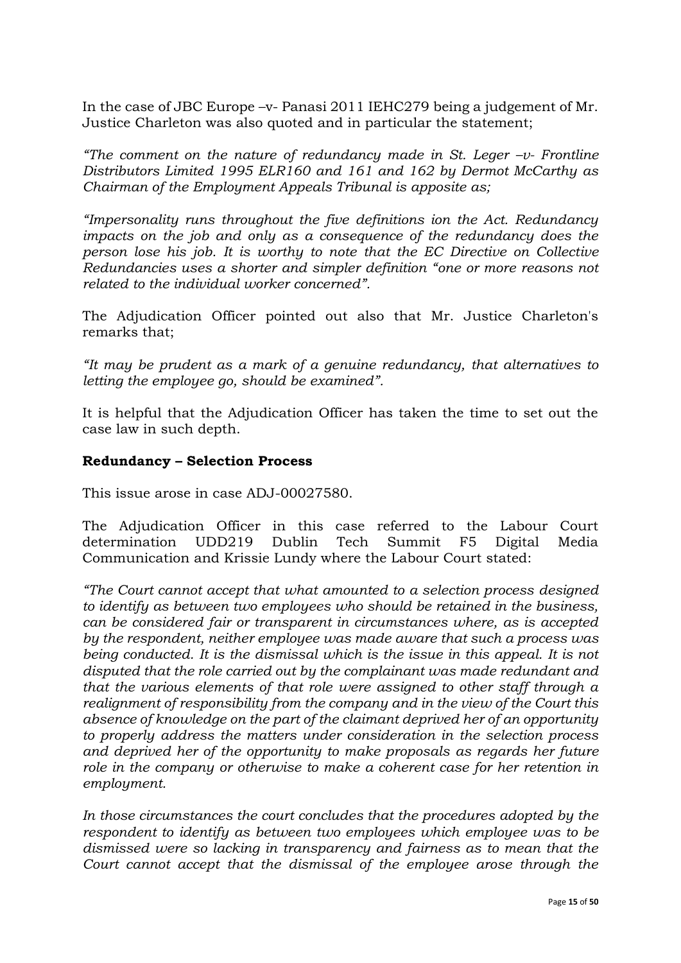In the case of JBC Europe –v- Panasi 2011 IEHC279 being a judgement of Mr. Justice Charleton was also quoted and in particular the statement;

*"The comment on the nature of redundancy made in St. Leger –v- Frontline Distributors Limited 1995 ELR160 and 161 and 162 by Dermot McCarthy as Chairman of the Employment Appeals Tribunal is apposite as;*

*"Impersonality runs throughout the five definitions ion the Act. Redundancy impacts on the job and only as a consequence of the redundancy does the person lose his job. It is worthy to note that the EC Directive on Collective Redundancies uses a shorter and simpler definition "one or more reasons not related to the individual worker concerned".* 

The Adjudication Officer pointed out also that Mr. Justice Charleton's remarks that;

*"It may be prudent as a mark of a genuine redundancy, that alternatives to letting the employee go, should be examined".* 

It is helpful that the Adjudication Officer has taken the time to set out the case law in such depth.

## **Redundancy – Selection Process**

This issue arose in case ADJ-00027580.

The Adjudication Officer in this case referred to the Labour Court determination UDD219 Dublin Tech Summit F5 Digital Media Communication and Krissie Lundy where the Labour Court stated:

*"The Court cannot accept that what amounted to a selection process designed to identify as between two employees who should be retained in the business, can be considered fair or transparent in circumstances where, as is accepted by the respondent, neither employee was made aware that such a process was being conducted. It is the dismissal which is the issue in this appeal. It is not disputed that the role carried out by the complainant was made redundant and that the various elements of that role were assigned to other staff through a realignment of responsibility from the company and in the view of the Court this absence of knowledge on the part of the claimant deprived her of an opportunity to properly address the matters under consideration in the selection process and deprived her of the opportunity to make proposals as regards her future role in the company or otherwise to make a coherent case for her retention in employment.* 

*In those circumstances the court concludes that the procedures adopted by the respondent to identify as between two employees which employee was to be dismissed were so lacking in transparency and fairness as to mean that the Court cannot accept that the dismissal of the employee arose through the*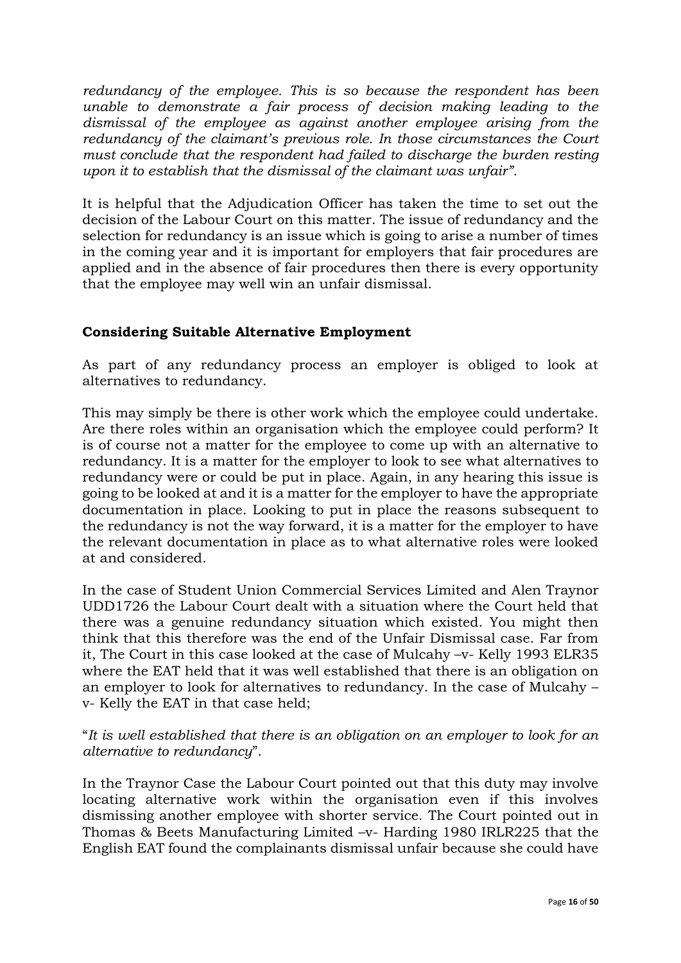*redundancy of the employee. This is so because the respondent has been unable to demonstrate a fair process of decision making leading to the dismissal of the employee as against another employee arising from the redundancy of the claimant's previous role. In those circumstances the Court must conclude that the respondent had failed to discharge the burden resting upon it to establish that the dismissal of the claimant was unfair".* 

It is helpful that the Adjudication Officer has taken the time to set out the decision of the Labour Court on this matter. The issue of redundancy and the selection for redundancy is an issue which is going to arise a number of times in the coming year and it is important for employers that fair procedures are applied and in the absence of fair procedures then there is every opportunity that the employee may well win an unfair dismissal.

## **Considering Suitable Alternative Employment**

As part of any redundancy process an employer is obliged to look at alternatives to redundancy.

This may simply be there is other work which the employee could undertake. Are there roles within an organisation which the employee could perform? It is of course not a matter for the employee to come up with an alternative to redundancy. It is a matter for the employer to look to see what alternatives to redundancy were or could be put in place. Again, in any hearing this issue is going to be looked at and it is a matter for the employer to have the appropriate documentation in place. Looking to put in place the reasons subsequent to the redundancy is not the way forward, it is a matter for the employer to have the relevant documentation in place as to what alternative roles were looked at and considered.

In the case of Student Union Commercial Services Limited and Alen Traynor UDD1726 the Labour Court dealt with a situation where the Court held that there was a genuine redundancy situation which existed. You might then think that this therefore was the end of the Unfair Dismissal case. Far from it, The Court in this case looked at the case of Mulcahy –v- Kelly 1993 ELR35 where the EAT held that it was well established that there is an obligation on an employer to look for alternatives to redundancy. In the case of Mulcahy – v- Kelly the EAT in that case held;

"*It is well established that there is an obligation on an employer to look for an alternative to redundancy*".

In the Traynor Case the Labour Court pointed out that this duty may involve locating alternative work within the organisation even if this involves dismissing another employee with shorter service. The Court pointed out in Thomas & Beets Manufacturing Limited –v- Harding 1980 IRLR225 that the English EAT found the complainants dismissal unfair because she could have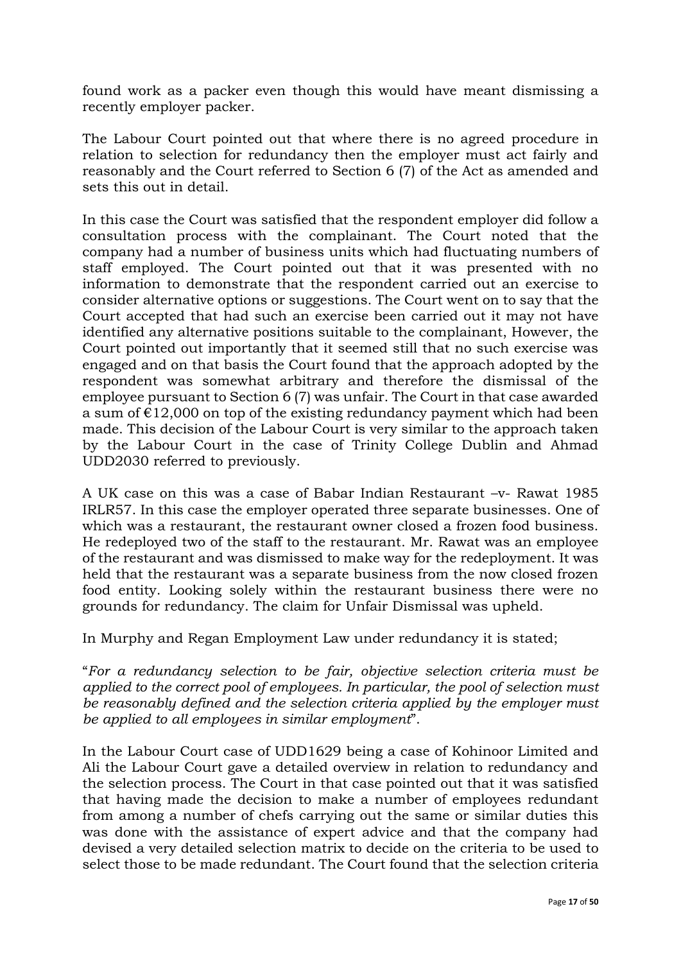found work as a packer even though this would have meant dismissing a recently employer packer.

The Labour Court pointed out that where there is no agreed procedure in relation to selection for redundancy then the employer must act fairly and reasonably and the Court referred to Section 6 (7) of the Act as amended and sets this out in detail.

In this case the Court was satisfied that the respondent employer did follow a consultation process with the complainant. The Court noted that the company had a number of business units which had fluctuating numbers of staff employed. The Court pointed out that it was presented with no information to demonstrate that the respondent carried out an exercise to consider alternative options or suggestions. The Court went on to say that the Court accepted that had such an exercise been carried out it may not have identified any alternative positions suitable to the complainant, However, the Court pointed out importantly that it seemed still that no such exercise was engaged and on that basis the Court found that the approach adopted by the respondent was somewhat arbitrary and therefore the dismissal of the employee pursuant to Section 6 (7) was unfair. The Court in that case awarded a sum of  $E12,000$  on top of the existing redundancy payment which had been made. This decision of the Labour Court is very similar to the approach taken by the Labour Court in the case of Trinity College Dublin and Ahmad UDD2030 referred to previously.

A UK case on this was a case of Babar Indian Restaurant –v- Rawat 1985 IRLR57. In this case the employer operated three separate businesses. One of which was a restaurant, the restaurant owner closed a frozen food business. He redeployed two of the staff to the restaurant. Mr. Rawat was an employee of the restaurant and was dismissed to make way for the redeployment. It was held that the restaurant was a separate business from the now closed frozen food entity. Looking solely within the restaurant business there were no grounds for redundancy. The claim for Unfair Dismissal was upheld.

In Murphy and Regan Employment Law under redundancy it is stated;

"*For a redundancy selection to be fair, objective selection criteria must be applied to the correct pool of employees. In particular, the pool of selection must be reasonably defined and the selection criteria applied by the employer must be applied to all employees in similar employment*".

In the Labour Court case of UDD1629 being a case of Kohinoor Limited and Ali the Labour Court gave a detailed overview in relation to redundancy and the selection process. The Court in that case pointed out that it was satisfied that having made the decision to make a number of employees redundant from among a number of chefs carrying out the same or similar duties this was done with the assistance of expert advice and that the company had devised a very detailed selection matrix to decide on the criteria to be used to select those to be made redundant. The Court found that the selection criteria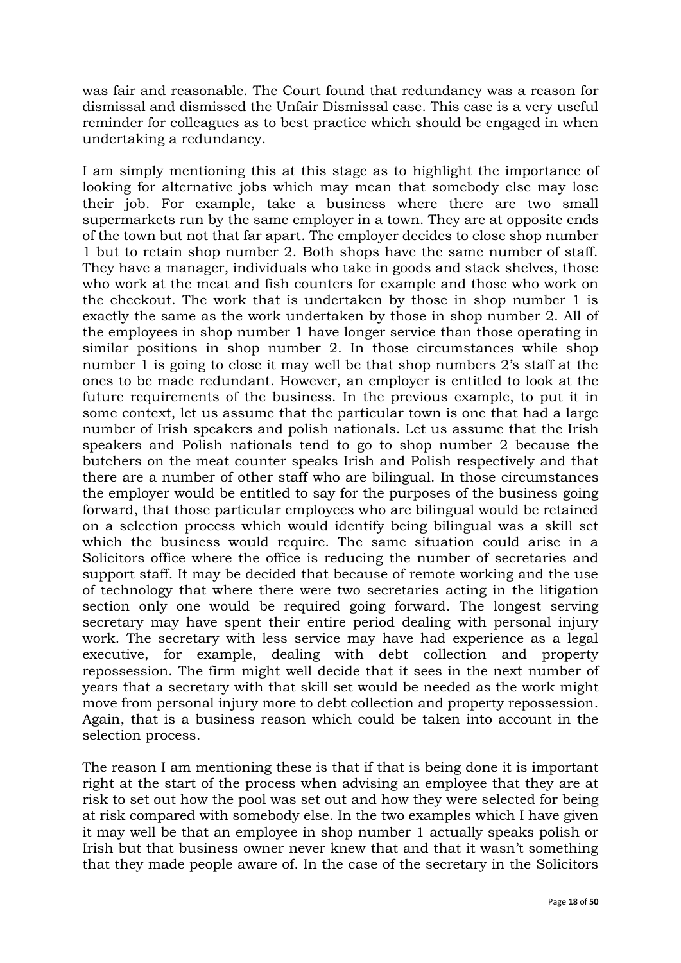was fair and reasonable. The Court found that redundancy was a reason for dismissal and dismissed the Unfair Dismissal case. This case is a very useful reminder for colleagues as to best practice which should be engaged in when undertaking a redundancy.

I am simply mentioning this at this stage as to highlight the importance of looking for alternative jobs which may mean that somebody else may lose their job. For example, take a business where there are two small supermarkets run by the same employer in a town. They are at opposite ends of the town but not that far apart. The employer decides to close shop number 1 but to retain shop number 2. Both shops have the same number of staff. They have a manager, individuals who take in goods and stack shelves, those who work at the meat and fish counters for example and those who work on the checkout. The work that is undertaken by those in shop number 1 is exactly the same as the work undertaken by those in shop number 2. All of the employees in shop number 1 have longer service than those operating in similar positions in shop number 2. In those circumstances while shop number 1 is going to close it may well be that shop numbers 2's staff at the ones to be made redundant. However, an employer is entitled to look at the future requirements of the business. In the previous example, to put it in some context, let us assume that the particular town is one that had a large number of Irish speakers and polish nationals. Let us assume that the Irish speakers and Polish nationals tend to go to shop number 2 because the butchers on the meat counter speaks Irish and Polish respectively and that there are a number of other staff who are bilingual. In those circumstances the employer would be entitled to say for the purposes of the business going forward, that those particular employees who are bilingual would be retained on a selection process which would identify being bilingual was a skill set which the business would require. The same situation could arise in a Solicitors office where the office is reducing the number of secretaries and support staff. It may be decided that because of remote working and the use of technology that where there were two secretaries acting in the litigation section only one would be required going forward. The longest serving secretary may have spent their entire period dealing with personal injury work. The secretary with less service may have had experience as a legal executive, for example, dealing with debt collection and property repossession. The firm might well decide that it sees in the next number of years that a secretary with that skill set would be needed as the work might move from personal injury more to debt collection and property repossession. Again, that is a business reason which could be taken into account in the selection process.

The reason I am mentioning these is that if that is being done it is important right at the start of the process when advising an employee that they are at risk to set out how the pool was set out and how they were selected for being at risk compared with somebody else. In the two examples which I have given it may well be that an employee in shop number 1 actually speaks polish or Irish but that business owner never knew that and that it wasn't something that they made people aware of. In the case of the secretary in the Solicitors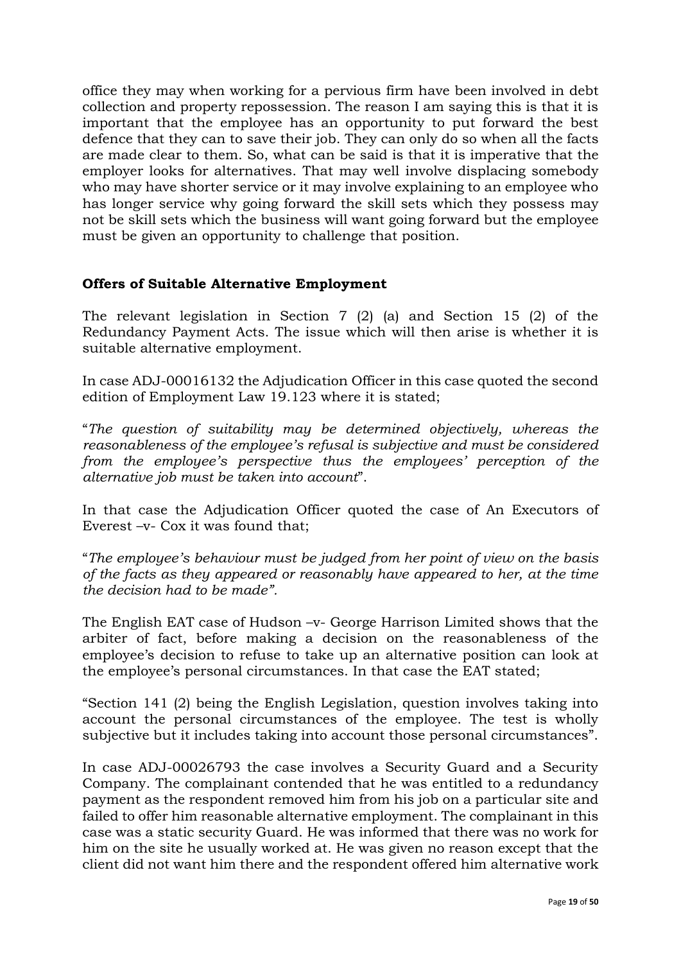office they may when working for a pervious firm have been involved in debt collection and property repossession. The reason I am saying this is that it is important that the employee has an opportunity to put forward the best defence that they can to save their job. They can only do so when all the facts are made clear to them. So, what can be said is that it is imperative that the employer looks for alternatives. That may well involve displacing somebody who may have shorter service or it may involve explaining to an employee who has longer service why going forward the skill sets which they possess may not be skill sets which the business will want going forward but the employee must be given an opportunity to challenge that position.

## **Offers of Suitable Alternative Employment**

The relevant legislation in Section 7 (2) (a) and Section 15 (2) of the Redundancy Payment Acts. The issue which will then arise is whether it is suitable alternative employment.

In case ADJ-00016132 the Adjudication Officer in this case quoted the second edition of Employment Law 19.123 where it is stated;

"*The question of suitability may be determined objectively, whereas the reasonableness of the employee's refusal is subjective and must be considered from the employee's perspective thus the employees' perception of the alternative job must be taken into account*".

In that case the Adjudication Officer quoted the case of An Executors of Everest –v- Cox it was found that;

"*The employee's behaviour must be judged from her point of view on the basis of the facts as they appeared or reasonably have appeared to her, at the time the decision had to be made".* 

The English EAT case of Hudson –v- George Harrison Limited shows that the arbiter of fact, before making a decision on the reasonableness of the employee's decision to refuse to take up an alternative position can look at the employee's personal circumstances. In that case the EAT stated;

"Section 141 (2) being the English Legislation, question involves taking into account the personal circumstances of the employee. The test is wholly subjective but it includes taking into account those personal circumstances".

In case ADJ-00026793 the case involves a Security Guard and a Security Company. The complainant contended that he was entitled to a redundancy payment as the respondent removed him from his job on a particular site and failed to offer him reasonable alternative employment. The complainant in this case was a static security Guard. He was informed that there was no work for him on the site he usually worked at. He was given no reason except that the client did not want him there and the respondent offered him alternative work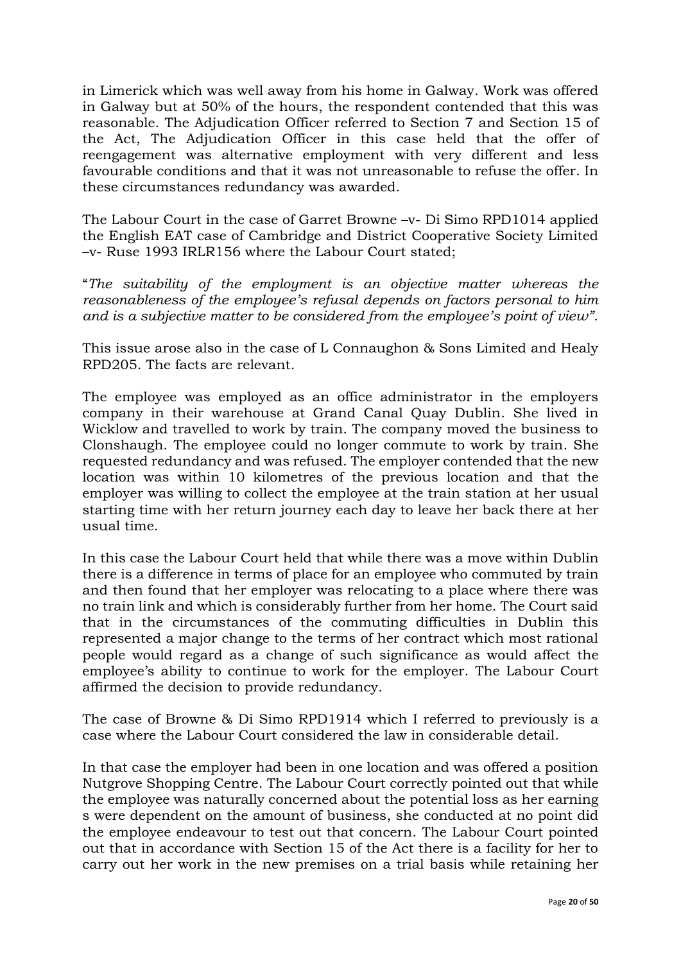in Limerick which was well away from his home in Galway. Work was offered in Galway but at 50% of the hours, the respondent contended that this was reasonable. The Adjudication Officer referred to Section 7 and Section 15 of the Act, The Adjudication Officer in this case held that the offer of reengagement was alternative employment with very different and less favourable conditions and that it was not unreasonable to refuse the offer. In these circumstances redundancy was awarded.

The Labour Court in the case of Garret Browne –v- Di Simo RPD1014 applied the English EAT case of Cambridge and District Cooperative Society Limited –v- Ruse 1993 IRLR156 where the Labour Court stated;

"*The suitability of the employment is an objective matter whereas the reasonableness of the employee's refusal depends on factors personal to him and is a subjective matter to be considered from the employee's point of view"*.

This issue arose also in the case of L Connaughon & Sons Limited and Healy RPD205. The facts are relevant.

The employee was employed as an office administrator in the employers company in their warehouse at Grand Canal Quay Dublin. She lived in Wicklow and travelled to work by train. The company moved the business to Clonshaugh. The employee could no longer commute to work by train. She requested redundancy and was refused. The employer contended that the new location was within 10 kilometres of the previous location and that the employer was willing to collect the employee at the train station at her usual starting time with her return journey each day to leave her back there at her usual time.

In this case the Labour Court held that while there was a move within Dublin there is a difference in terms of place for an employee who commuted by train and then found that her employer was relocating to a place where there was no train link and which is considerably further from her home. The Court said that in the circumstances of the commuting difficulties in Dublin this represented a major change to the terms of her contract which most rational people would regard as a change of such significance as would affect the employee's ability to continue to work for the employer. The Labour Court affirmed the decision to provide redundancy.

The case of Browne & Di Simo RPD1914 which I referred to previously is a case where the Labour Court considered the law in considerable detail.

In that case the employer had been in one location and was offered a position Nutgrove Shopping Centre. The Labour Court correctly pointed out that while the employee was naturally concerned about the potential loss as her earning s were dependent on the amount of business, she conducted at no point did the employee endeavour to test out that concern. The Labour Court pointed out that in accordance with Section 15 of the Act there is a facility for her to carry out her work in the new premises on a trial basis while retaining her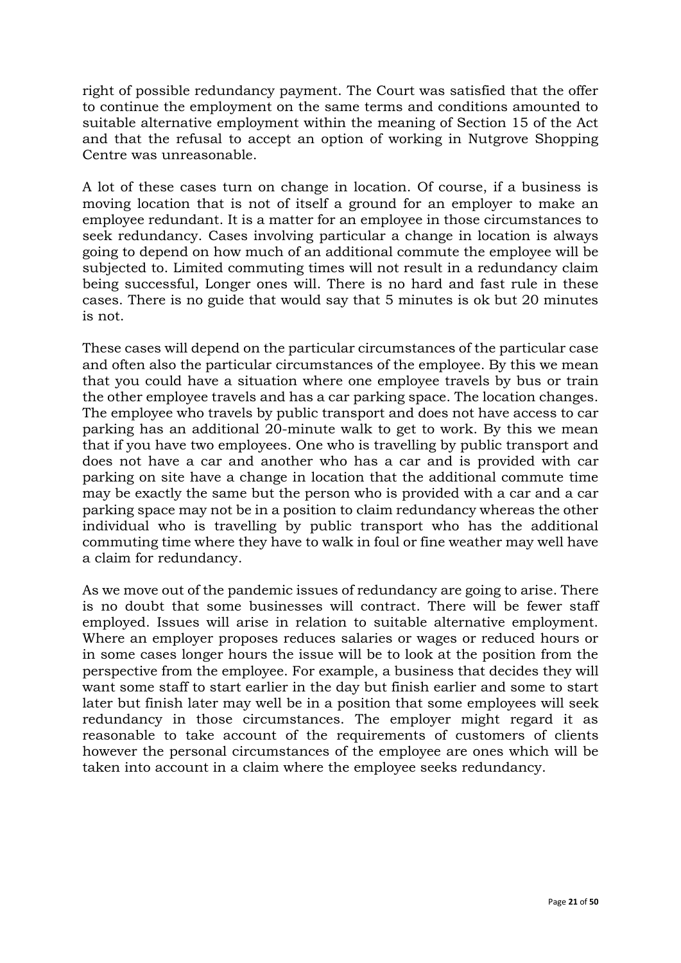right of possible redundancy payment. The Court was satisfied that the offer to continue the employment on the same terms and conditions amounted to suitable alternative employment within the meaning of Section 15 of the Act and that the refusal to accept an option of working in Nutgrove Shopping Centre was unreasonable.

A lot of these cases turn on change in location. Of course, if a business is moving location that is not of itself a ground for an employer to make an employee redundant. It is a matter for an employee in those circumstances to seek redundancy. Cases involving particular a change in location is always going to depend on how much of an additional commute the employee will be subjected to. Limited commuting times will not result in a redundancy claim being successful, Longer ones will. There is no hard and fast rule in these cases. There is no guide that would say that 5 minutes is ok but 20 minutes is not.

These cases will depend on the particular circumstances of the particular case and often also the particular circumstances of the employee. By this we mean that you could have a situation where one employee travels by bus or train the other employee travels and has a car parking space. The location changes. The employee who travels by public transport and does not have access to car parking has an additional 20-minute walk to get to work. By this we mean that if you have two employees. One who is travelling by public transport and does not have a car and another who has a car and is provided with car parking on site have a change in location that the additional commute time may be exactly the same but the person who is provided with a car and a car parking space may not be in a position to claim redundancy whereas the other individual who is travelling by public transport who has the additional commuting time where they have to walk in foul or fine weather may well have a claim for redundancy.

As we move out of the pandemic issues of redundancy are going to arise. There is no doubt that some businesses will contract. There will be fewer staff employed. Issues will arise in relation to suitable alternative employment. Where an employer proposes reduces salaries or wages or reduced hours or in some cases longer hours the issue will be to look at the position from the perspective from the employee. For example, a business that decides they will want some staff to start earlier in the day but finish earlier and some to start later but finish later may well be in a position that some employees will seek redundancy in those circumstances. The employer might regard it as reasonable to take account of the requirements of customers of clients however the personal circumstances of the employee are ones which will be taken into account in a claim where the employee seeks redundancy.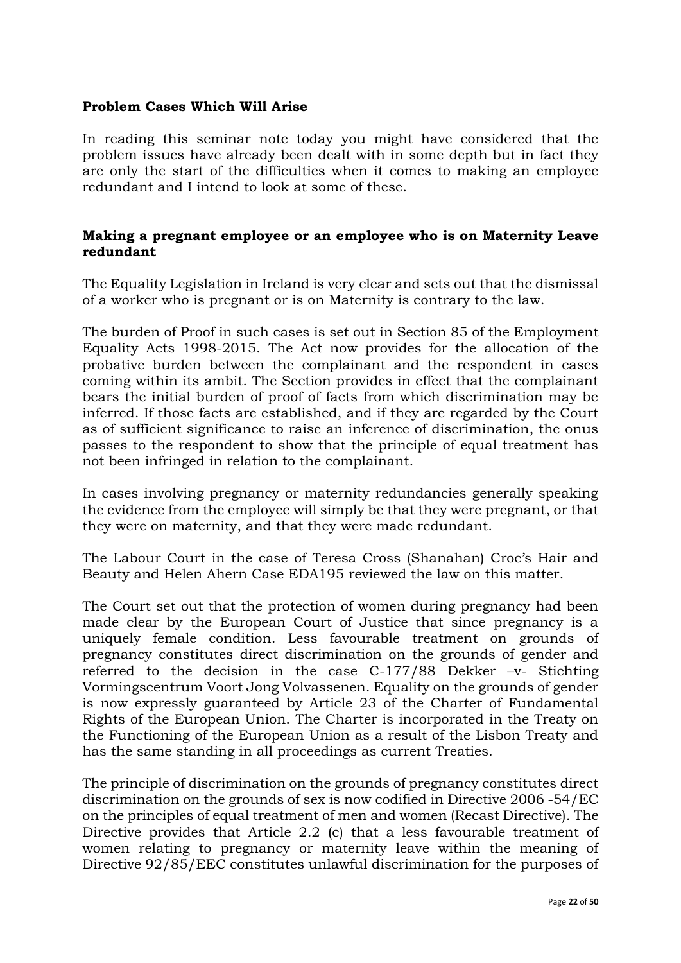### **Problem Cases Which Will Arise**

In reading this seminar note today you might have considered that the problem issues have already been dealt with in some depth but in fact they are only the start of the difficulties when it comes to making an employee redundant and I intend to look at some of these.

### **Making a pregnant employee or an employee who is on Maternity Leave redundant**

The Equality Legislation in Ireland is very clear and sets out that the dismissal of a worker who is pregnant or is on Maternity is contrary to the law.

The burden of Proof in such cases is set out in Section 85 of the Employment Equality Acts 1998-2015. The Act now provides for the allocation of the probative burden between the complainant and the respondent in cases coming within its ambit. The Section provides in effect that the complainant bears the initial burden of proof of facts from which discrimination may be inferred. If those facts are established, and if they are regarded by the Court as of sufficient significance to raise an inference of discrimination, the onus passes to the respondent to show that the principle of equal treatment has not been infringed in relation to the complainant.

In cases involving pregnancy or maternity redundancies generally speaking the evidence from the employee will simply be that they were pregnant, or that they were on maternity, and that they were made redundant.

The Labour Court in the case of Teresa Cross (Shanahan) Croc's Hair and Beauty and Helen Ahern Case EDA195 reviewed the law on this matter.

The Court set out that the protection of women during pregnancy had been made clear by the European Court of Justice that since pregnancy is a uniquely female condition. Less favourable treatment on grounds of pregnancy constitutes direct discrimination on the grounds of gender and referred to the decision in the case C-177/88 Dekker –v- Stichting Vormingscentrum Voort Jong Volvassenen. Equality on the grounds of gender is now expressly guaranteed by Article 23 of the Charter of Fundamental Rights of the European Union. The Charter is incorporated in the Treaty on the Functioning of the European Union as a result of the Lisbon Treaty and has the same standing in all proceedings as current Treaties.

The principle of discrimination on the grounds of pregnancy constitutes direct discrimination on the grounds of sex is now codified in Directive 2006 -54/EC on the principles of equal treatment of men and women (Recast Directive). The Directive provides that Article 2.2 (c) that a less favourable treatment of women relating to pregnancy or maternity leave within the meaning of Directive 92/85/EEC constitutes unlawful discrimination for the purposes of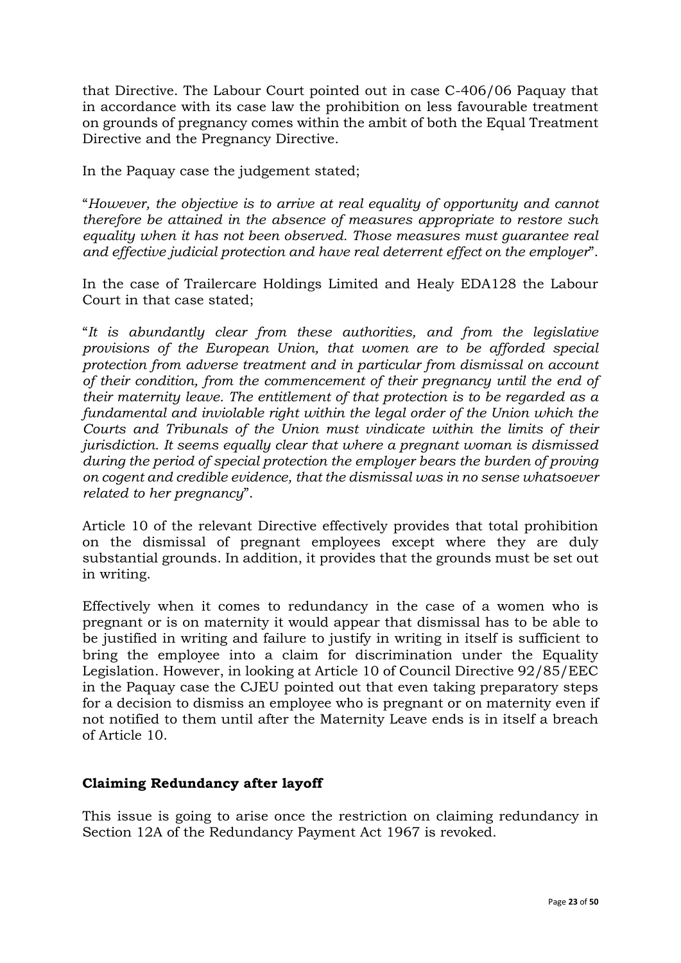that Directive. The Labour Court pointed out in case C-406/06 Paquay that in accordance with its case law the prohibition on less favourable treatment on grounds of pregnancy comes within the ambit of both the Equal Treatment Directive and the Pregnancy Directive.

In the Paquay case the judgement stated;

"*However, the objective is to arrive at real equality of opportunity and cannot therefore be attained in the absence of measures appropriate to restore such equality when it has not been observed. Those measures must guarantee real and effective judicial protection and have real deterrent effect on the employer*".

In the case of Trailercare Holdings Limited and Healy EDA128 the Labour Court in that case stated;

"*It is abundantly clear from these authorities, and from the legislative provisions of the European Union, that women are to be afforded special protection from adverse treatment and in particular from dismissal on account of their condition, from the commencement of their pregnancy until the end of their maternity leave. The entitlement of that protection is to be regarded as a fundamental and inviolable right within the legal order of the Union which the Courts and Tribunals of the Union must vindicate within the limits of their jurisdiction. It seems equally clear that where a pregnant woman is dismissed during the period of special protection the employer bears the burden of proving on cogent and credible evidence, that the dismissal was in no sense whatsoever related to her pregnancy*".

Article 10 of the relevant Directive effectively provides that total prohibition on the dismissal of pregnant employees except where they are duly substantial grounds. In addition, it provides that the grounds must be set out in writing.

Effectively when it comes to redundancy in the case of a women who is pregnant or is on maternity it would appear that dismissal has to be able to be justified in writing and failure to justify in writing in itself is sufficient to bring the employee into a claim for discrimination under the Equality Legislation. However, in looking at Article 10 of Council Directive 92/85/EEC in the Paquay case the CJEU pointed out that even taking preparatory steps for a decision to dismiss an employee who is pregnant or on maternity even if not notified to them until after the Maternity Leave ends is in itself a breach of Article 10.

## **Claiming Redundancy after layoff**

This issue is going to arise once the restriction on claiming redundancy in Section 12A of the Redundancy Payment Act 1967 is revoked.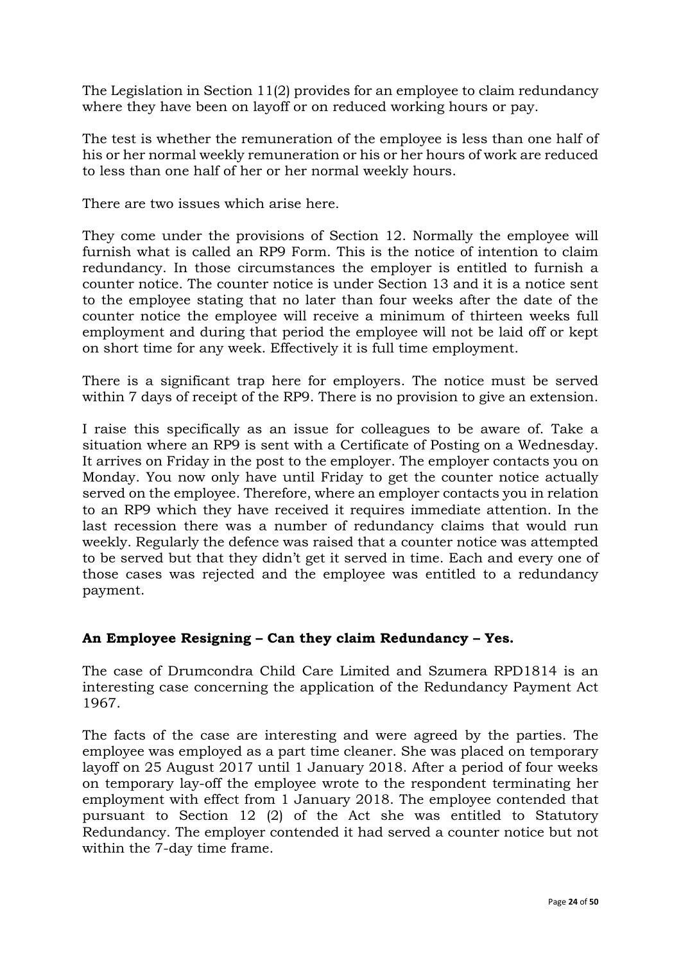The Legislation in Section 11(2) provides for an employee to claim redundancy where they have been on layoff or on reduced working hours or pay.

The test is whether the remuneration of the employee is less than one half of his or her normal weekly remuneration or his or her hours of work are reduced to less than one half of her or her normal weekly hours.

There are two issues which arise here.

They come under the provisions of Section 12. Normally the employee will furnish what is called an RP9 Form. This is the notice of intention to claim redundancy. In those circumstances the employer is entitled to furnish a counter notice. The counter notice is under Section 13 and it is a notice sent to the employee stating that no later than four weeks after the date of the counter notice the employee will receive a minimum of thirteen weeks full employment and during that period the employee will not be laid off or kept on short time for any week. Effectively it is full time employment.

There is a significant trap here for employers. The notice must be served within 7 days of receipt of the RP9. There is no provision to give an extension.

I raise this specifically as an issue for colleagues to be aware of. Take a situation where an RP9 is sent with a Certificate of Posting on a Wednesday. It arrives on Friday in the post to the employer. The employer contacts you on Monday. You now only have until Friday to get the counter notice actually served on the employee. Therefore, where an employer contacts you in relation to an RP9 which they have received it requires immediate attention. In the last recession there was a number of redundancy claims that would run weekly. Regularly the defence was raised that a counter notice was attempted to be served but that they didn't get it served in time. Each and every one of those cases was rejected and the employee was entitled to a redundancy payment.

## **An Employee Resigning – Can they claim Redundancy – Yes.**

The case of Drumcondra Child Care Limited and Szumera RPD1814 is an interesting case concerning the application of the Redundancy Payment Act 1967.

The facts of the case are interesting and were agreed by the parties. The employee was employed as a part time cleaner. She was placed on temporary layoff on 25 August 2017 until 1 January 2018. After a period of four weeks on temporary lay-off the employee wrote to the respondent terminating her employment with effect from 1 January 2018. The employee contended that pursuant to Section 12 (2) of the Act she was entitled to Statutory Redundancy. The employer contended it had served a counter notice but not within the 7-day time frame.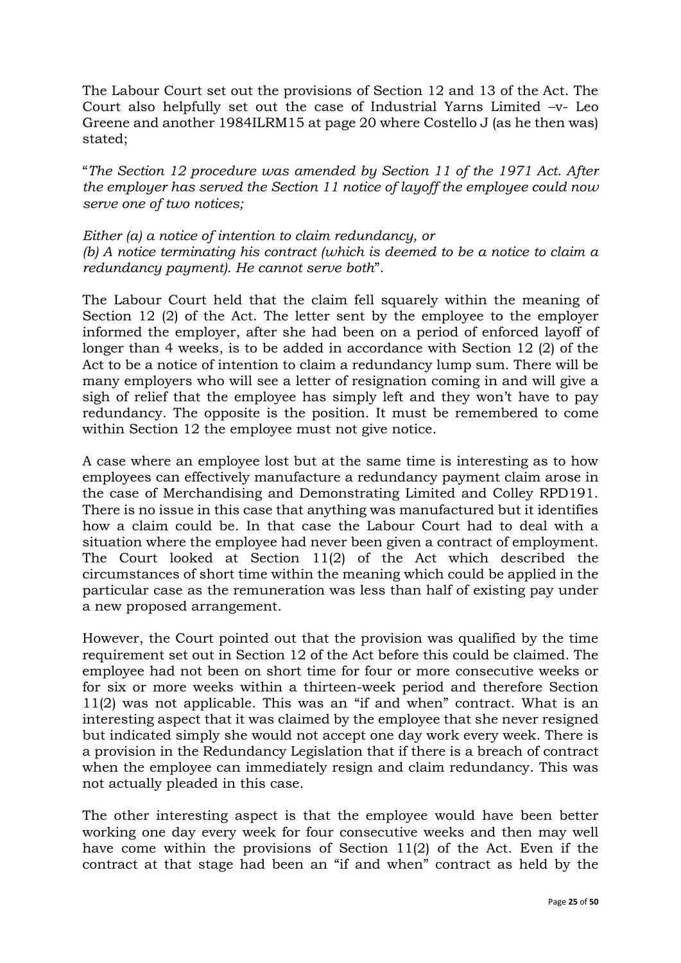The Labour Court set out the provisions of Section 12 and 13 of the Act. The Court also helpfully set out the case of Industrial Yarns Limited –v- Leo Greene and another 1984ILRM15 at page 20 where Costello J (as he then was) stated;

"*The Section 12 procedure was amended by Section 11 of the 1971 Act. After the employer has served the Section 11 notice of layoff the employee could now serve one of two notices;*

*Either (a) a notice of intention to claim redundancy, or (b) A notice terminating his contract (which is deemed to be a notice to claim a redundancy payment). He cannot serve both*".

The Labour Court held that the claim fell squarely within the meaning of Section 12 (2) of the Act. The letter sent by the employee to the employer informed the employer, after she had been on a period of enforced layoff of longer than 4 weeks, is to be added in accordance with Section 12 (2) of the Act to be a notice of intention to claim a redundancy lump sum. There will be many employers who will see a letter of resignation coming in and will give a sigh of relief that the employee has simply left and they won't have to pay redundancy. The opposite is the position. It must be remembered to come within Section 12 the employee must not give notice.

A case where an employee lost but at the same time is interesting as to how employees can effectively manufacture a redundancy payment claim arose in the case of Merchandising and Demonstrating Limited and Colley RPD191. There is no issue in this case that anything was manufactured but it identifies how a claim could be. In that case the Labour Court had to deal with a situation where the employee had never been given a contract of employment. The Court looked at Section 11(2) of the Act which described the circumstances of short time within the meaning which could be applied in the particular case as the remuneration was less than half of existing pay under a new proposed arrangement.

However, the Court pointed out that the provision was qualified by the time requirement set out in Section 12 of the Act before this could be claimed. The employee had not been on short time for four or more consecutive weeks or for six or more weeks within a thirteen-week period and therefore Section 11(2) was not applicable. This was an "if and when" contract. What is an interesting aspect that it was claimed by the employee that she never resigned but indicated simply she would not accept one day work every week. There is a provision in the Redundancy Legislation that if there is a breach of contract when the employee can immediately resign and claim redundancy. This was not actually pleaded in this case.

The other interesting aspect is that the employee would have been better working one day every week for four consecutive weeks and then may well have come within the provisions of Section 11(2) of the Act. Even if the contract at that stage had been an "if and when" contract as held by the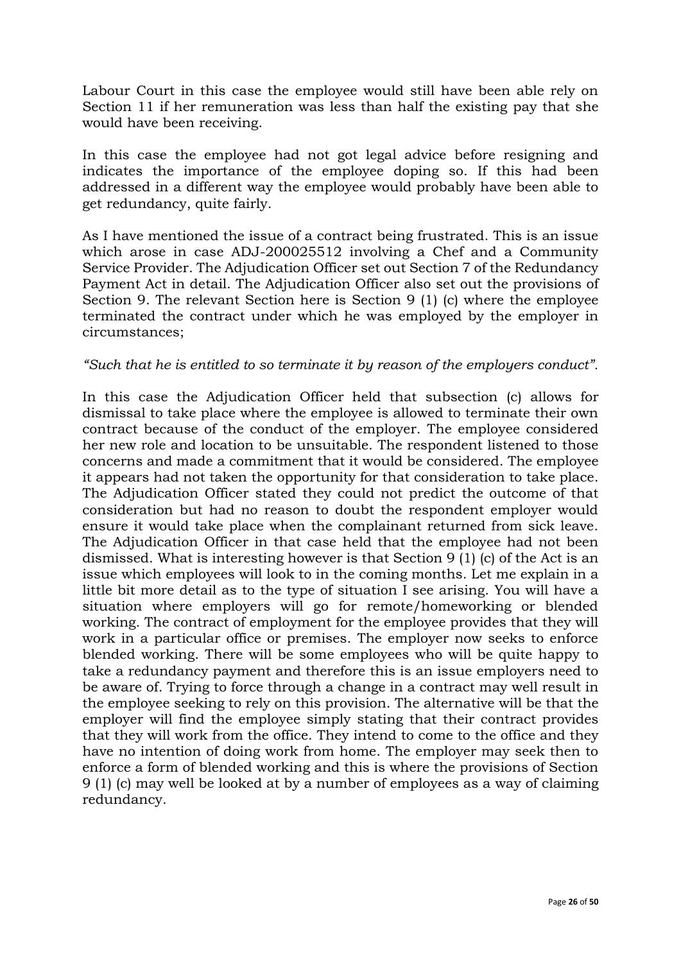Labour Court in this case the employee would still have been able rely on Section 11 if her remuneration was less than half the existing pay that she would have been receiving.

In this case the employee had not got legal advice before resigning and indicates the importance of the employee doping so. If this had been addressed in a different way the employee would probably have been able to get redundancy, quite fairly.

As I have mentioned the issue of a contract being frustrated. This is an issue which arose in case ADJ-200025512 involving a Chef and a Community Service Provider. The Adjudication Officer set out Section 7 of the Redundancy Payment Act in detail. The Adjudication Officer also set out the provisions of Section 9. The relevant Section here is Section 9 (1) (c) where the employee terminated the contract under which he was employed by the employer in circumstances;

### *"Such that he is entitled to so terminate it by reason of the employers conduct".*

In this case the Adjudication Officer held that subsection (c) allows for dismissal to take place where the employee is allowed to terminate their own contract because of the conduct of the employer. The employee considered her new role and location to be unsuitable. The respondent listened to those concerns and made a commitment that it would be considered. The employee it appears had not taken the opportunity for that consideration to take place. The Adjudication Officer stated they could not predict the outcome of that consideration but had no reason to doubt the respondent employer would ensure it would take place when the complainant returned from sick leave. The Adjudication Officer in that case held that the employee had not been dismissed. What is interesting however is that Section 9 (1) (c) of the Act is an issue which employees will look to in the coming months. Let me explain in a little bit more detail as to the type of situation I see arising. You will have a situation where employers will go for remote/homeworking or blended working. The contract of employment for the employee provides that they will work in a particular office or premises. The employer now seeks to enforce blended working. There will be some employees who will be quite happy to take a redundancy payment and therefore this is an issue employers need to be aware of. Trying to force through a change in a contract may well result in the employee seeking to rely on this provision. The alternative will be that the employer will find the employee simply stating that their contract provides that they will work from the office. They intend to come to the office and they have no intention of doing work from home. The employer may seek then to enforce a form of blended working and this is where the provisions of Section 9 (1) (c) may well be looked at by a number of employees as a way of claiming redundancy.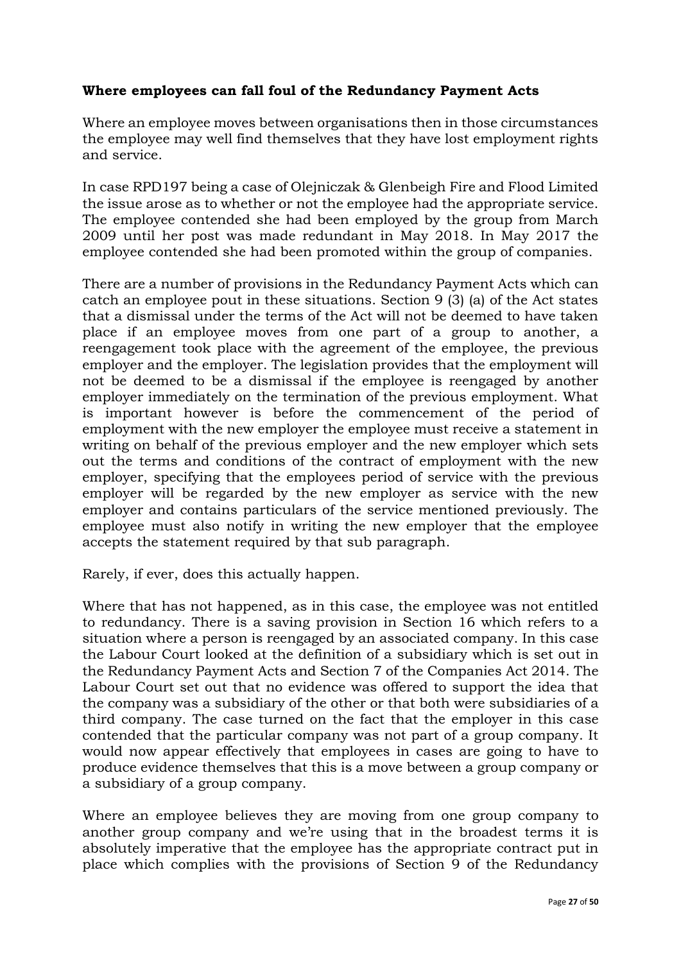# **Where employees can fall foul of the Redundancy Payment Acts**

Where an employee moves between organisations then in those circumstances the employee may well find themselves that they have lost employment rights and service.

In case RPD197 being a case of Olejniczak & Glenbeigh Fire and Flood Limited the issue arose as to whether or not the employee had the appropriate service. The employee contended she had been employed by the group from March 2009 until her post was made redundant in May 2018. In May 2017 the employee contended she had been promoted within the group of companies.

There are a number of provisions in the Redundancy Payment Acts which can catch an employee pout in these situations. Section 9 (3) (a) of the Act states that a dismissal under the terms of the Act will not be deemed to have taken place if an employee moves from one part of a group to another, a reengagement took place with the agreement of the employee, the previous employer and the employer. The legislation provides that the employment will not be deemed to be a dismissal if the employee is reengaged by another employer immediately on the termination of the previous employment. What is important however is before the commencement of the period of employment with the new employer the employee must receive a statement in writing on behalf of the previous employer and the new employer which sets out the terms and conditions of the contract of employment with the new employer, specifying that the employees period of service with the previous employer will be regarded by the new employer as service with the new employer and contains particulars of the service mentioned previously. The employee must also notify in writing the new employer that the employee accepts the statement required by that sub paragraph.

Rarely, if ever, does this actually happen.

Where that has not happened, as in this case, the employee was not entitled to redundancy. There is a saving provision in Section 16 which refers to a situation where a person is reengaged by an associated company. In this case the Labour Court looked at the definition of a subsidiary which is set out in the Redundancy Payment Acts and Section 7 of the Companies Act 2014. The Labour Court set out that no evidence was offered to support the idea that the company was a subsidiary of the other or that both were subsidiaries of a third company. The case turned on the fact that the employer in this case contended that the particular company was not part of a group company. It would now appear effectively that employees in cases are going to have to produce evidence themselves that this is a move between a group company or a subsidiary of a group company.

Where an employee believes they are moving from one group company to another group company and we're using that in the broadest terms it is absolutely imperative that the employee has the appropriate contract put in place which complies with the provisions of Section 9 of the Redundancy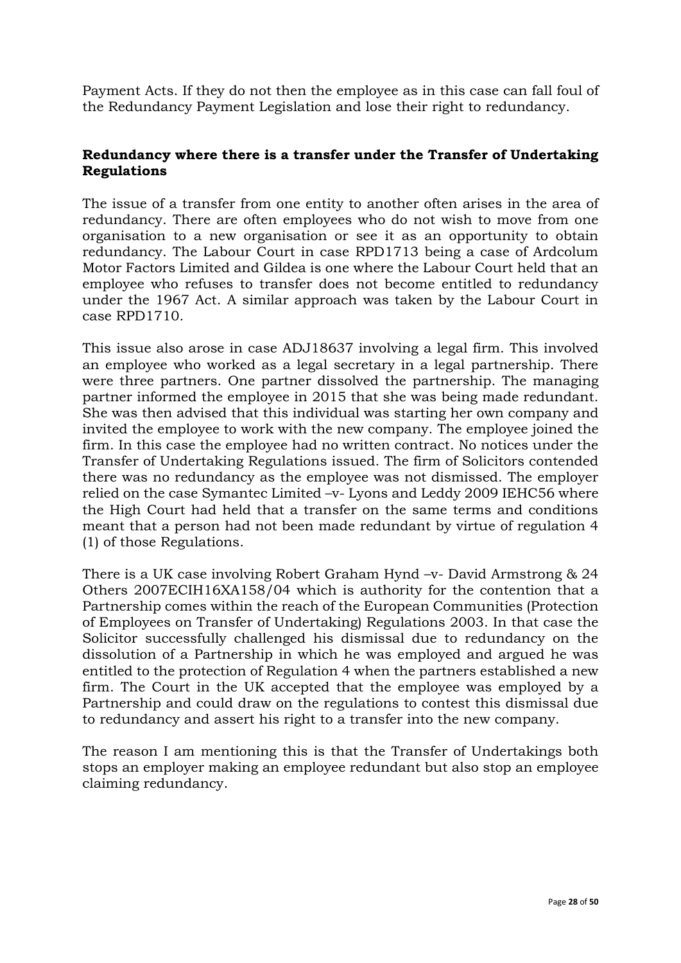Payment Acts. If they do not then the employee as in this case can fall foul of the Redundancy Payment Legislation and lose their right to redundancy.

## **Redundancy where there is a transfer under the Transfer of Undertaking Regulations**

The issue of a transfer from one entity to another often arises in the area of redundancy. There are often employees who do not wish to move from one organisation to a new organisation or see it as an opportunity to obtain redundancy. The Labour Court in case RPD1713 being a case of Ardcolum Motor Factors Limited and Gildea is one where the Labour Court held that an employee who refuses to transfer does not become entitled to redundancy under the 1967 Act. A similar approach was taken by the Labour Court in case RPD1710.

This issue also arose in case ADJ18637 involving a legal firm. This involved an employee who worked as a legal secretary in a legal partnership. There were three partners. One partner dissolved the partnership. The managing partner informed the employee in 2015 that she was being made redundant. She was then advised that this individual was starting her own company and invited the employee to work with the new company. The employee joined the firm. In this case the employee had no written contract. No notices under the Transfer of Undertaking Regulations issued. The firm of Solicitors contended there was no redundancy as the employee was not dismissed. The employer relied on the case Symantec Limited –v- Lyons and Leddy 2009 IEHC56 where the High Court had held that a transfer on the same terms and conditions meant that a person had not been made redundant by virtue of regulation 4 (1) of those Regulations.

There is a UK case involving Robert Graham Hynd –v- David Armstrong & 24 Others 2007ECIH16XA158/04 which is authority for the contention that a Partnership comes within the reach of the European Communities (Protection of Employees on Transfer of Undertaking) Regulations 2003. In that case the Solicitor successfully challenged his dismissal due to redundancy on the dissolution of a Partnership in which he was employed and argued he was entitled to the protection of Regulation 4 when the partners established a new firm. The Court in the UK accepted that the employee was employed by a Partnership and could draw on the regulations to contest this dismissal due to redundancy and assert his right to a transfer into the new company.

The reason I am mentioning this is that the Transfer of Undertakings both stops an employer making an employee redundant but also stop an employee claiming redundancy.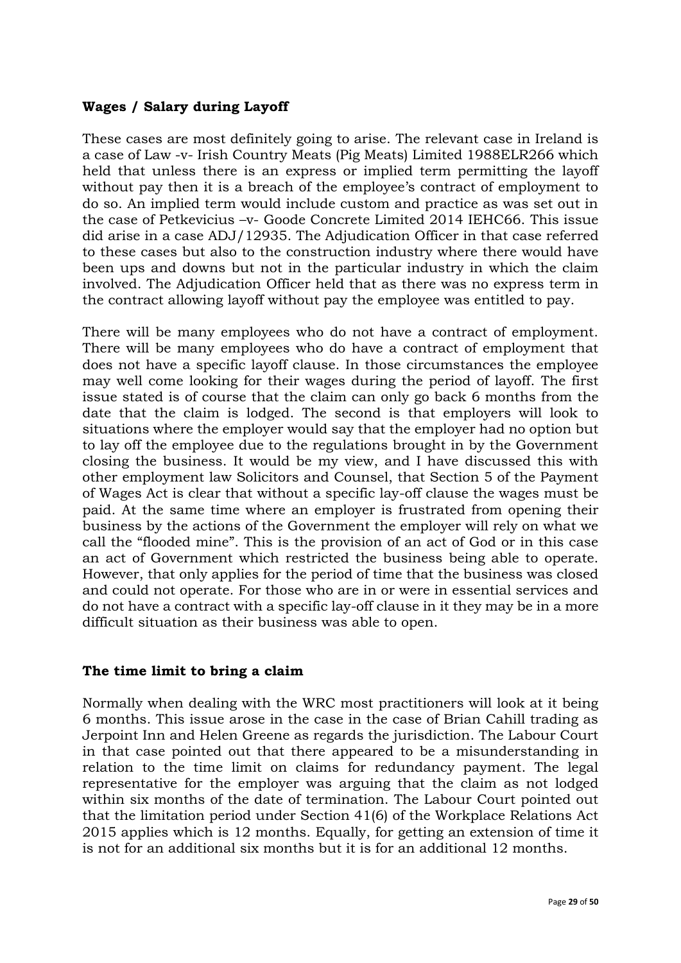## **Wages / Salary during Layoff**

These cases are most definitely going to arise. The relevant case in Ireland is a case of Law -v- Irish Country Meats (Pig Meats) Limited 1988ELR266 which held that unless there is an express or implied term permitting the layoff without pay then it is a breach of the employee's contract of employment to do so. An implied term would include custom and practice as was set out in the case of Petkevicius –v- Goode Concrete Limited 2014 IEHC66. This issue did arise in a case ADJ/12935. The Adjudication Officer in that case referred to these cases but also to the construction industry where there would have been ups and downs but not in the particular industry in which the claim involved. The Adjudication Officer held that as there was no express term in the contract allowing layoff without pay the employee was entitled to pay.

There will be many employees who do not have a contract of employment. There will be many employees who do have a contract of employment that does not have a specific layoff clause. In those circumstances the employee may well come looking for their wages during the period of layoff. The first issue stated is of course that the claim can only go back 6 months from the date that the claim is lodged. The second is that employers will look to situations where the employer would say that the employer had no option but to lay off the employee due to the regulations brought in by the Government closing the business. It would be my view, and I have discussed this with other employment law Solicitors and Counsel, that Section 5 of the Payment of Wages Act is clear that without a specific lay-off clause the wages must be paid. At the same time where an employer is frustrated from opening their business by the actions of the Government the employer will rely on what we call the "flooded mine". This is the provision of an act of God or in this case an act of Government which restricted the business being able to operate. However, that only applies for the period of time that the business was closed and could not operate. For those who are in or were in essential services and do not have a contract with a specific lay-off clause in it they may be in a more difficult situation as their business was able to open.

## **The time limit to bring a claim**

Normally when dealing with the WRC most practitioners will look at it being 6 months. This issue arose in the case in the case of Brian Cahill trading as Jerpoint Inn and Helen Greene as regards the jurisdiction. The Labour Court in that case pointed out that there appeared to be a misunderstanding in relation to the time limit on claims for redundancy payment. The legal representative for the employer was arguing that the claim as not lodged within six months of the date of termination. The Labour Court pointed out that the limitation period under Section 41(6) of the Workplace Relations Act 2015 applies which is 12 months. Equally, for getting an extension of time it is not for an additional six months but it is for an additional 12 months.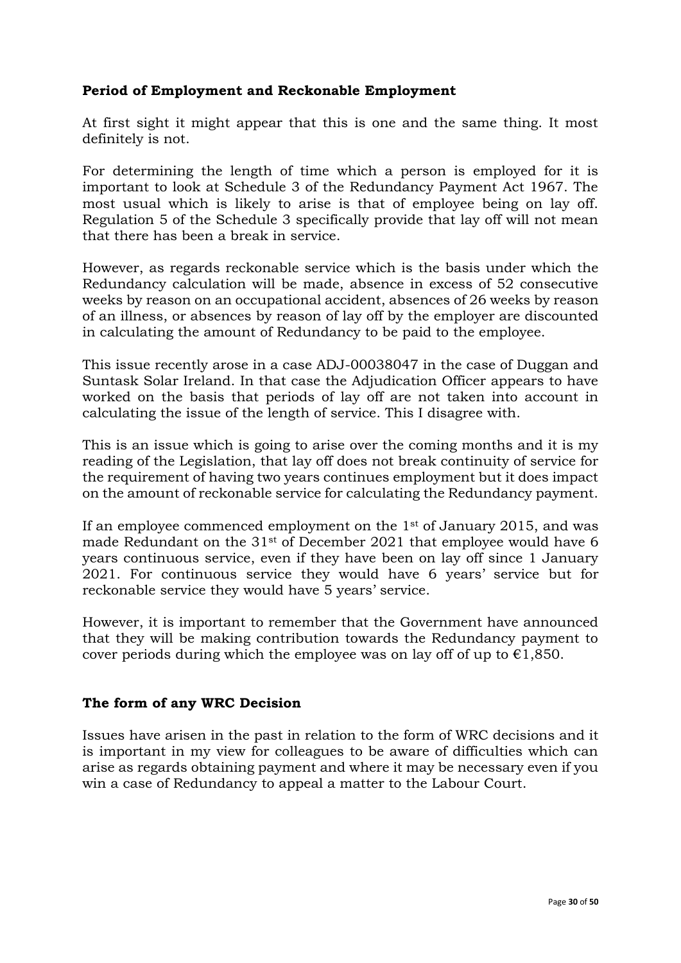## **Period of Employment and Reckonable Employment**

At first sight it might appear that this is one and the same thing. It most definitely is not.

For determining the length of time which a person is employed for it is important to look at Schedule 3 of the Redundancy Payment Act 1967. The most usual which is likely to arise is that of employee being on lay off. Regulation 5 of the Schedule 3 specifically provide that lay off will not mean that there has been a break in service.

However, as regards reckonable service which is the basis under which the Redundancy calculation will be made, absence in excess of 52 consecutive weeks by reason on an occupational accident, absences of 26 weeks by reason of an illness, or absences by reason of lay off by the employer are discounted in calculating the amount of Redundancy to be paid to the employee.

This issue recently arose in a case ADJ-00038047 in the case of Duggan and Suntask Solar Ireland. In that case the Adjudication Officer appears to have worked on the basis that periods of lay off are not taken into account in calculating the issue of the length of service. This I disagree with.

This is an issue which is going to arise over the coming months and it is my reading of the Legislation, that lay off does not break continuity of service for the requirement of having two years continues employment but it does impact on the amount of reckonable service for calculating the Redundancy payment.

If an employee commenced employment on the  $1<sup>st</sup>$  of January 2015, and was made Redundant on the 31st of December 2021 that employee would have 6 years continuous service, even if they have been on lay off since 1 January 2021. For continuous service they would have 6 years' service but for reckonable service they would have 5 years' service.

However, it is important to remember that the Government have announced that they will be making contribution towards the Redundancy payment to cover periods during which the employee was on lay off of up to  $\epsilon$ 1,850.

## **The form of any WRC Decision**

Issues have arisen in the past in relation to the form of WRC decisions and it is important in my view for colleagues to be aware of difficulties which can arise as regards obtaining payment and where it may be necessary even if you win a case of Redundancy to appeal a matter to the Labour Court.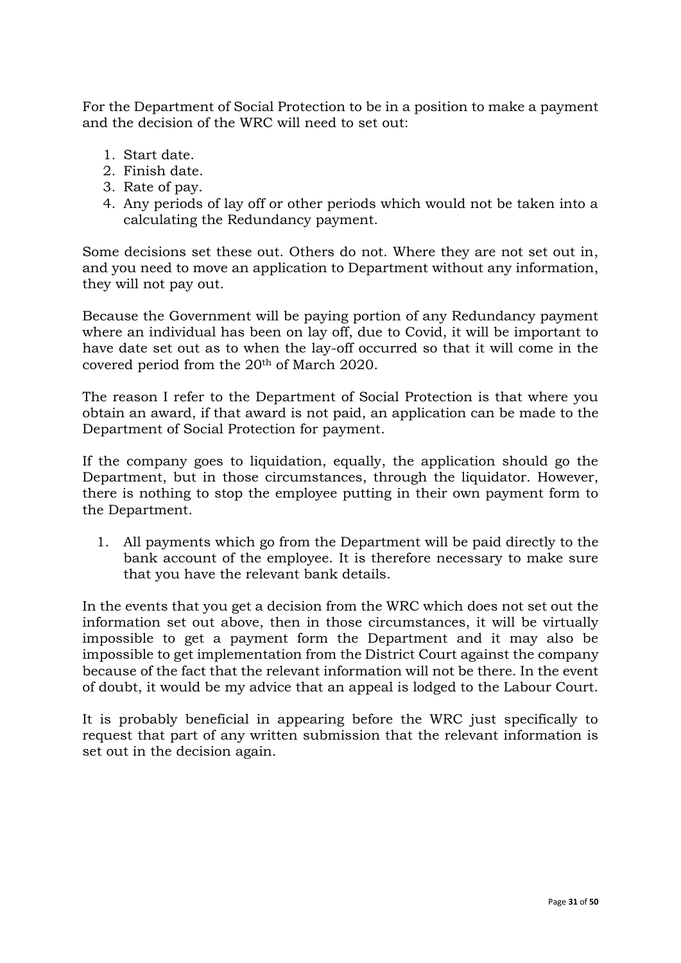For the Department of Social Protection to be in a position to make a payment and the decision of the WRC will need to set out:

- 1. Start date.
- 2. Finish date.
- 3. Rate of pay.
- 4. Any periods of lay off or other periods which would not be taken into a calculating the Redundancy payment.

Some decisions set these out. Others do not. Where they are not set out in, and you need to move an application to Department without any information, they will not pay out.

Because the Government will be paying portion of any Redundancy payment where an individual has been on lay off, due to Covid, it will be important to have date set out as to when the lay-off occurred so that it will come in the covered period from the 20th of March 2020.

The reason I refer to the Department of Social Protection is that where you obtain an award, if that award is not paid, an application can be made to the Department of Social Protection for payment.

If the company goes to liquidation, equally, the application should go the Department, but in those circumstances, through the liquidator. However, there is nothing to stop the employee putting in their own payment form to the Department.

1. All payments which go from the Department will be paid directly to the bank account of the employee. It is therefore necessary to make sure that you have the relevant bank details.

In the events that you get a decision from the WRC which does not set out the information set out above, then in those circumstances, it will be virtually impossible to get a payment form the Department and it may also be impossible to get implementation from the District Court against the company because of the fact that the relevant information will not be there. In the event of doubt, it would be my advice that an appeal is lodged to the Labour Court.

It is probably beneficial in appearing before the WRC just specifically to request that part of any written submission that the relevant information is set out in the decision again.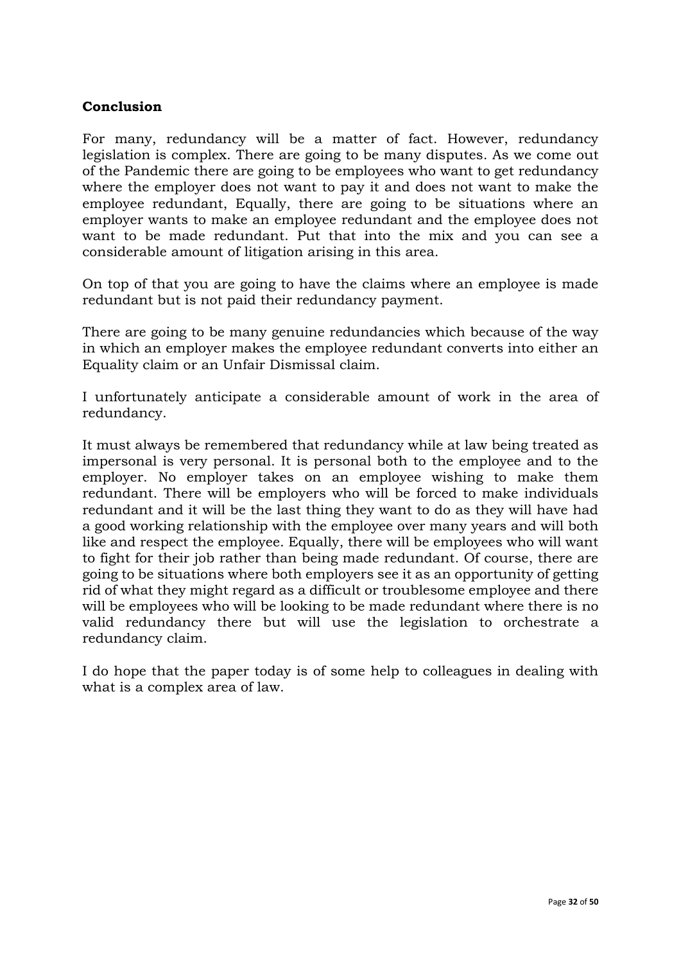### **Conclusion**

For many, redundancy will be a matter of fact. However, redundancy legislation is complex. There are going to be many disputes. As we come out of the Pandemic there are going to be employees who want to get redundancy where the employer does not want to pay it and does not want to make the employee redundant, Equally, there are going to be situations where an employer wants to make an employee redundant and the employee does not want to be made redundant. Put that into the mix and you can see a considerable amount of litigation arising in this area.

On top of that you are going to have the claims where an employee is made redundant but is not paid their redundancy payment.

There are going to be many genuine redundancies which because of the way in which an employer makes the employee redundant converts into either an Equality claim or an Unfair Dismissal claim.

I unfortunately anticipate a considerable amount of work in the area of redundancy.

It must always be remembered that redundancy while at law being treated as impersonal is very personal. It is personal both to the employee and to the employer. No employer takes on an employee wishing to make them redundant. There will be employers who will be forced to make individuals redundant and it will be the last thing they want to do as they will have had a good working relationship with the employee over many years and will both like and respect the employee. Equally, there will be employees who will want to fight for their job rather than being made redundant. Of course, there are going to be situations where both employers see it as an opportunity of getting rid of what they might regard as a difficult or troublesome employee and there will be employees who will be looking to be made redundant where there is no valid redundancy there but will use the legislation to orchestrate a redundancy claim.

I do hope that the paper today is of some help to colleagues in dealing with what is a complex area of law.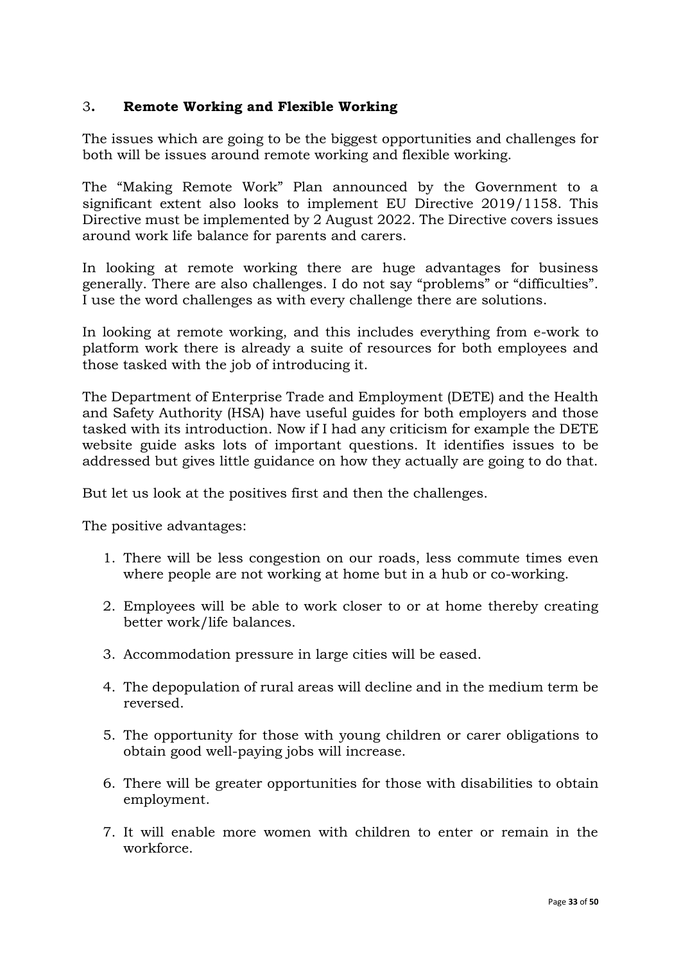# 3**. Remote Working and Flexible Working**

The issues which are going to be the biggest opportunities and challenges for both will be issues around remote working and flexible working.

The "Making Remote Work" Plan announced by the Government to a significant extent also looks to implement EU Directive 2019/1158. This Directive must be implemented by 2 August 2022. The Directive covers issues around work life balance for parents and carers.

In looking at remote working there are huge advantages for business generally. There are also challenges. I do not say "problems" or "difficulties". I use the word challenges as with every challenge there are solutions.

In looking at remote working, and this includes everything from e-work to platform work there is already a suite of resources for both employees and those tasked with the job of introducing it.

The Department of Enterprise Trade and Employment (DETE) and the Health and Safety Authority (HSA) have useful guides for both employers and those tasked with its introduction. Now if I had any criticism for example the DETE website guide asks lots of important questions. It identifies issues to be addressed but gives little guidance on how they actually are going to do that.

But let us look at the positives first and then the challenges.

The positive advantages:

- 1. There will be less congestion on our roads, less commute times even where people are not working at home but in a hub or co-working.
- 2. Employees will be able to work closer to or at home thereby creating better work/life balances.
- 3. Accommodation pressure in large cities will be eased.
- 4. The depopulation of rural areas will decline and in the medium term be reversed.
- 5. The opportunity for those with young children or carer obligations to obtain good well-paying jobs will increase.
- 6. There will be greater opportunities for those with disabilities to obtain employment.
- 7. It will enable more women with children to enter or remain in the workforce.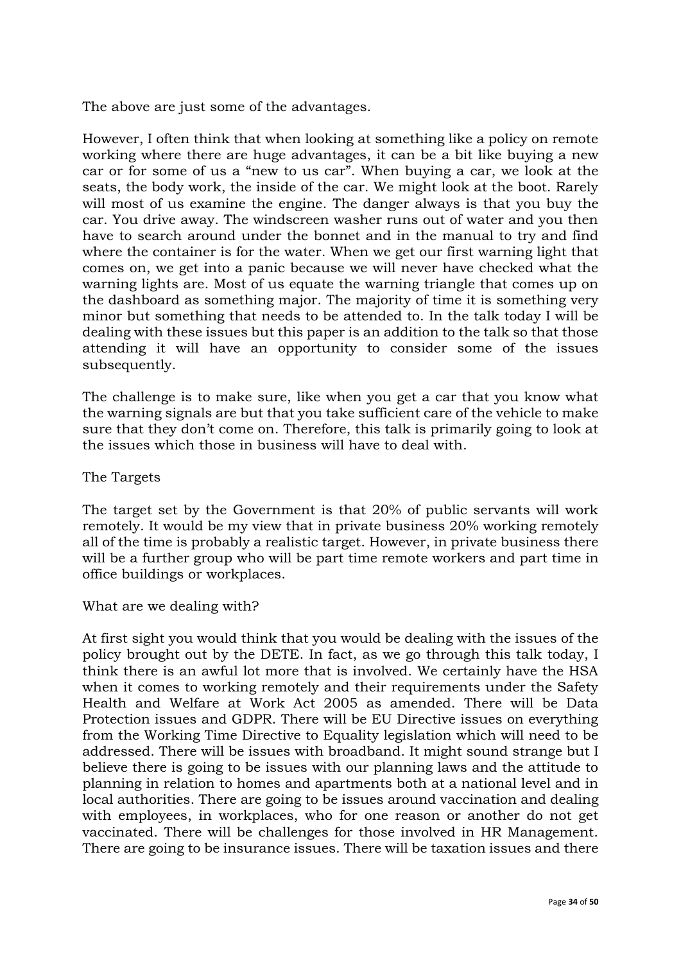The above are just some of the advantages.

However, I often think that when looking at something like a policy on remote working where there are huge advantages, it can be a bit like buying a new car or for some of us a "new to us car". When buying a car, we look at the seats, the body work, the inside of the car. We might look at the boot. Rarely will most of us examine the engine. The danger always is that you buy the car. You drive away. The windscreen washer runs out of water and you then have to search around under the bonnet and in the manual to try and find where the container is for the water. When we get our first warning light that comes on, we get into a panic because we will never have checked what the warning lights are. Most of us equate the warning triangle that comes up on the dashboard as something major. The majority of time it is something very minor but something that needs to be attended to. In the talk today I will be dealing with these issues but this paper is an addition to the talk so that those attending it will have an opportunity to consider some of the issues subsequently.

The challenge is to make sure, like when you get a car that you know what the warning signals are but that you take sufficient care of the vehicle to make sure that they don't come on. Therefore, this talk is primarily going to look at the issues which those in business will have to deal with.

The Targets

The target set by the Government is that 20% of public servants will work remotely. It would be my view that in private business 20% working remotely all of the time is probably a realistic target. However, in private business there will be a further group who will be part time remote workers and part time in office buildings or workplaces.

What are we dealing with?

At first sight you would think that you would be dealing with the issues of the policy brought out by the DETE. In fact, as we go through this talk today, I think there is an awful lot more that is involved. We certainly have the HSA when it comes to working remotely and their requirements under the Safety Health and Welfare at Work Act 2005 as amended. There will be Data Protection issues and GDPR. There will be EU Directive issues on everything from the Working Time Directive to Equality legislation which will need to be addressed. There will be issues with broadband. It might sound strange but I believe there is going to be issues with our planning laws and the attitude to planning in relation to homes and apartments both at a national level and in local authorities. There are going to be issues around vaccination and dealing with employees, in workplaces, who for one reason or another do not get vaccinated. There will be challenges for those involved in HR Management. There are going to be insurance issues. There will be taxation issues and there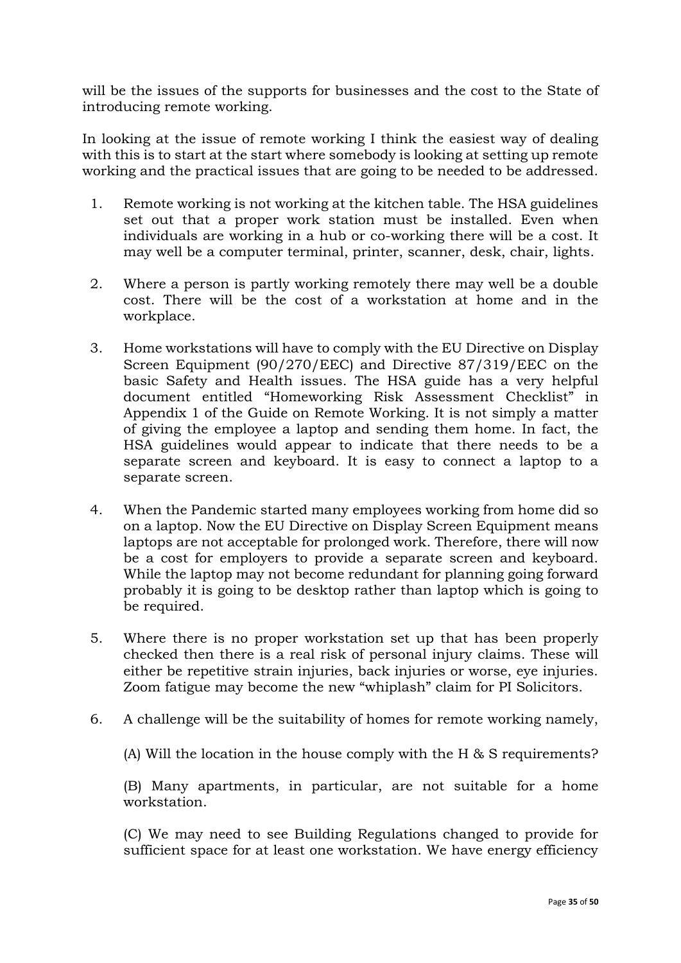will be the issues of the supports for businesses and the cost to the State of introducing remote working.

In looking at the issue of remote working I think the easiest way of dealing with this is to start at the start where somebody is looking at setting up remote working and the practical issues that are going to be needed to be addressed.

- 1. Remote working is not working at the kitchen table. The HSA guidelines set out that a proper work station must be installed. Even when individuals are working in a hub or co-working there will be a cost. It may well be a computer terminal, printer, scanner, desk, chair, lights.
- 2. Where a person is partly working remotely there may well be a double cost. There will be the cost of a workstation at home and in the workplace.
- 3. Home workstations will have to comply with the EU Directive on Display Screen Equipment (90/270/EEC) and Directive 87/319/EEC on the basic Safety and Health issues. The HSA guide has a very helpful document entitled "Homeworking Risk Assessment Checklist" in Appendix 1 of the Guide on Remote Working. It is not simply a matter of giving the employee a laptop and sending them home. In fact, the HSA guidelines would appear to indicate that there needs to be a separate screen and keyboard. It is easy to connect a laptop to a separate screen.
- 4. When the Pandemic started many employees working from home did so on a laptop. Now the EU Directive on Display Screen Equipment means laptops are not acceptable for prolonged work. Therefore, there will now be a cost for employers to provide a separate screen and keyboard. While the laptop may not become redundant for planning going forward probably it is going to be desktop rather than laptop which is going to be required.
- 5. Where there is no proper workstation set up that has been properly checked then there is a real risk of personal injury claims. These will either be repetitive strain injuries, back injuries or worse, eye injuries. Zoom fatigue may become the new "whiplash" claim for PI Solicitors.
- 6. A challenge will be the suitability of homes for remote working namely,

(A) Will the location in the house comply with the H & S requirements?

(B) Many apartments, in particular, are not suitable for a home workstation.

(C) We may need to see Building Regulations changed to provide for sufficient space for at least one workstation. We have energy efficiency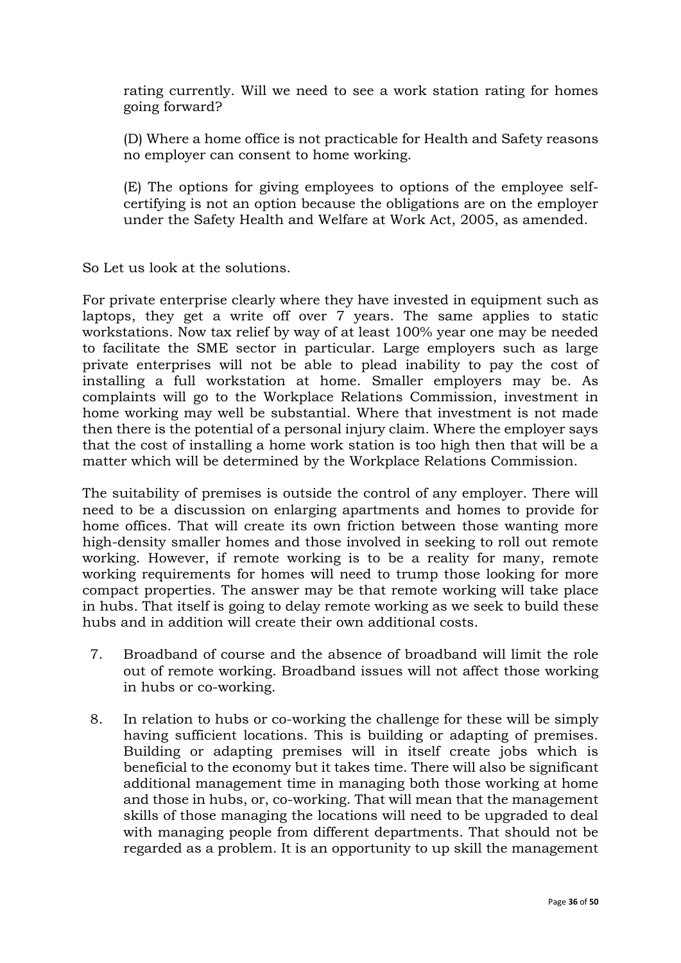rating currently. Will we need to see a work station rating for homes going forward?

(D) Where a home office is not practicable for Health and Safety reasons no employer can consent to home working.

(E) The options for giving employees to options of the employee selfcertifying is not an option because the obligations are on the employer under the Safety Health and Welfare at Work Act, 2005, as amended.

So Let us look at the solutions.

For private enterprise clearly where they have invested in equipment such as laptops, they get a write off over 7 years. The same applies to static workstations. Now tax relief by way of at least 100% year one may be needed to facilitate the SME sector in particular. Large employers such as large private enterprises will not be able to plead inability to pay the cost of installing a full workstation at home. Smaller employers may be. As complaints will go to the Workplace Relations Commission, investment in home working may well be substantial. Where that investment is not made then there is the potential of a personal injury claim. Where the employer says that the cost of installing a home work station is too high then that will be a matter which will be determined by the Workplace Relations Commission.

The suitability of premises is outside the control of any employer. There will need to be a discussion on enlarging apartments and homes to provide for home offices. That will create its own friction between those wanting more high-density smaller homes and those involved in seeking to roll out remote working. However, if remote working is to be a reality for many, remote working requirements for homes will need to trump those looking for more compact properties. The answer may be that remote working will take place in hubs. That itself is going to delay remote working as we seek to build these hubs and in addition will create their own additional costs.

- 7. Broadband of course and the absence of broadband will limit the role out of remote working. Broadband issues will not affect those working in hubs or co-working.
- 8. In relation to hubs or co-working the challenge for these will be simply having sufficient locations. This is building or adapting of premises. Building or adapting premises will in itself create jobs which is beneficial to the economy but it takes time. There will also be significant additional management time in managing both those working at home and those in hubs, or, co-working. That will mean that the management skills of those managing the locations will need to be upgraded to deal with managing people from different departments. That should not be regarded as a problem. It is an opportunity to up skill the management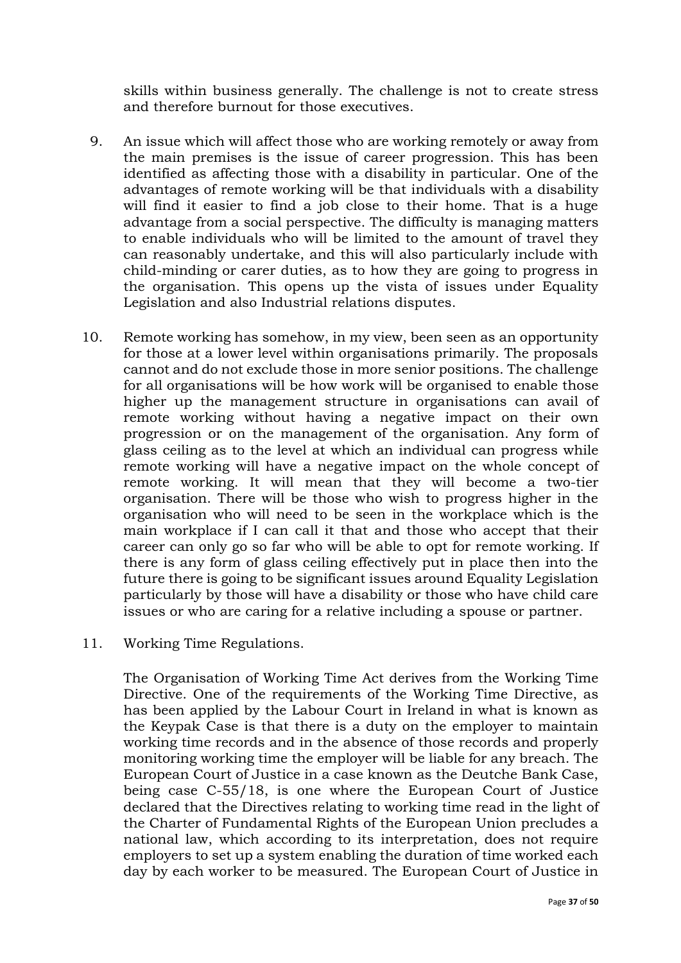skills within business generally. The challenge is not to create stress and therefore burnout for those executives.

- 9. An issue which will affect those who are working remotely or away from the main premises is the issue of career progression. This has been identified as affecting those with a disability in particular. One of the advantages of remote working will be that individuals with a disability will find it easier to find a job close to their home. That is a huge advantage from a social perspective. The difficulty is managing matters to enable individuals who will be limited to the amount of travel they can reasonably undertake, and this will also particularly include with child-minding or carer duties, as to how they are going to progress in the organisation. This opens up the vista of issues under Equality Legislation and also Industrial relations disputes.
- 10. Remote working has somehow, in my view, been seen as an opportunity for those at a lower level within organisations primarily. The proposals cannot and do not exclude those in more senior positions. The challenge for all organisations will be how work will be organised to enable those higher up the management structure in organisations can avail of remote working without having a negative impact on their own progression or on the management of the organisation. Any form of glass ceiling as to the level at which an individual can progress while remote working will have a negative impact on the whole concept of remote working. It will mean that they will become a two-tier organisation. There will be those who wish to progress higher in the organisation who will need to be seen in the workplace which is the main workplace if I can call it that and those who accept that their career can only go so far who will be able to opt for remote working. If there is any form of glass ceiling effectively put in place then into the future there is going to be significant issues around Equality Legislation particularly by those will have a disability or those who have child care issues or who are caring for a relative including a spouse or partner.

#### 11. Working Time Regulations.

The Organisation of Working Time Act derives from the Working Time Directive. One of the requirements of the Working Time Directive, as has been applied by the Labour Court in Ireland in what is known as the Keypak Case is that there is a duty on the employer to maintain working time records and in the absence of those records and properly monitoring working time the employer will be liable for any breach. The European Court of Justice in a case known as the Deutche Bank Case, being case C-55/18, is one where the European Court of Justice declared that the Directives relating to working time read in the light of the Charter of Fundamental Rights of the European Union precludes a national law, which according to its interpretation, does not require employers to set up a system enabling the duration of time worked each day by each worker to be measured. The European Court of Justice in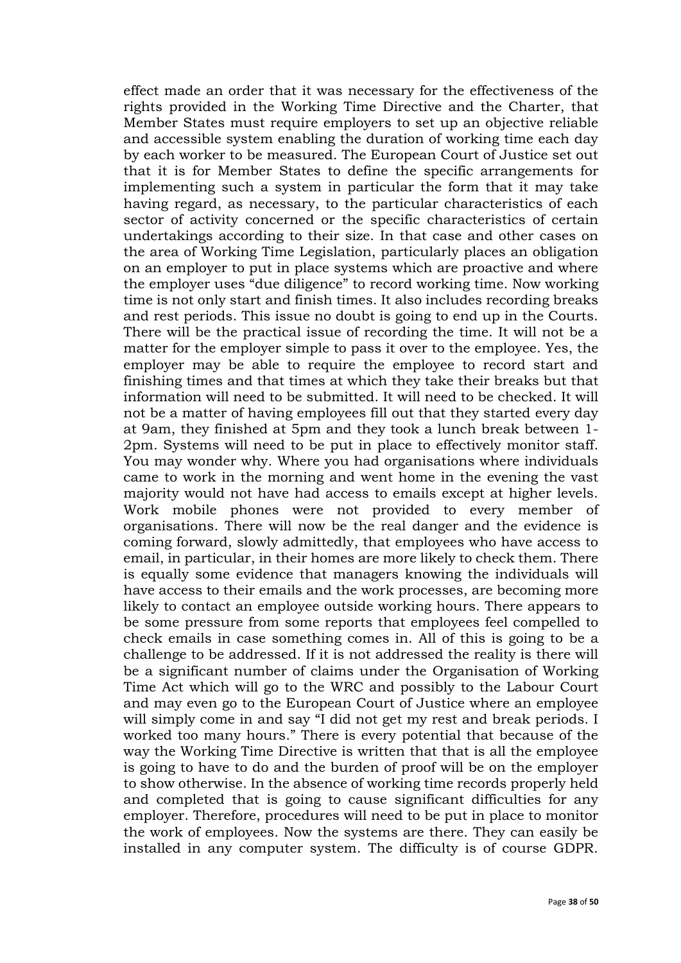effect made an order that it was necessary for the effectiveness of the rights provided in the Working Time Directive and the Charter, that Member States must require employers to set up an objective reliable and accessible system enabling the duration of working time each day by each worker to be measured. The European Court of Justice set out that it is for Member States to define the specific arrangements for implementing such a system in particular the form that it may take having regard, as necessary, to the particular characteristics of each sector of activity concerned or the specific characteristics of certain undertakings according to their size. In that case and other cases on the area of Working Time Legislation, particularly places an obligation on an employer to put in place systems which are proactive and where the employer uses "due diligence" to record working time. Now working time is not only start and finish times. It also includes recording breaks and rest periods. This issue no doubt is going to end up in the Courts. There will be the practical issue of recording the time. It will not be a matter for the employer simple to pass it over to the employee. Yes, the employer may be able to require the employee to record start and finishing times and that times at which they take their breaks but that information will need to be submitted. It will need to be checked. It will not be a matter of having employees fill out that they started every day at 9am, they finished at 5pm and they took a lunch break between 1- 2pm. Systems will need to be put in place to effectively monitor staff. You may wonder why. Where you had organisations where individuals came to work in the morning and went home in the evening the vast majority would not have had access to emails except at higher levels. Work mobile phones were not provided to every member of organisations. There will now be the real danger and the evidence is coming forward, slowly admittedly, that employees who have access to email, in particular, in their homes are more likely to check them. There is equally some evidence that managers knowing the individuals will have access to their emails and the work processes, are becoming more likely to contact an employee outside working hours. There appears to be some pressure from some reports that employees feel compelled to check emails in case something comes in. All of this is going to be a challenge to be addressed. If it is not addressed the reality is there will be a significant number of claims under the Organisation of Working Time Act which will go to the WRC and possibly to the Labour Court and may even go to the European Court of Justice where an employee will simply come in and say "I did not get my rest and break periods. I worked too many hours." There is every potential that because of the way the Working Time Directive is written that that is all the employee is going to have to do and the burden of proof will be on the employer to show otherwise. In the absence of working time records properly held and completed that is going to cause significant difficulties for any employer. Therefore, procedures will need to be put in place to monitor the work of employees. Now the systems are there. They can easily be installed in any computer system. The difficulty is of course GDPR.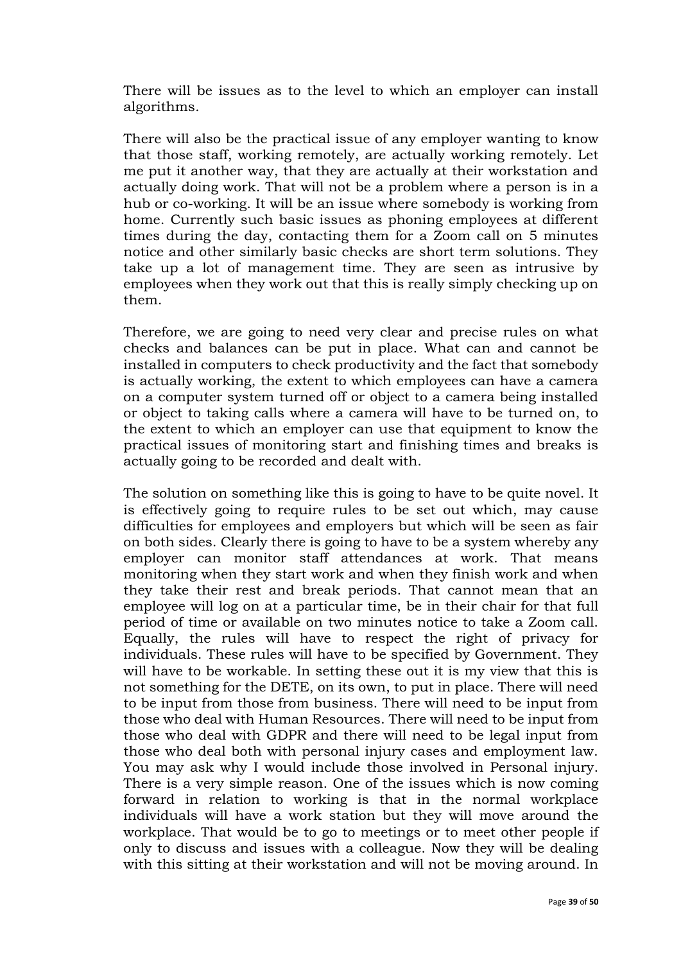There will be issues as to the level to which an employer can install algorithms.

There will also be the practical issue of any employer wanting to know that those staff, working remotely, are actually working remotely. Let me put it another way, that they are actually at their workstation and actually doing work. That will not be a problem where a person is in a hub or co-working. It will be an issue where somebody is working from home. Currently such basic issues as phoning employees at different times during the day, contacting them for a Zoom call on 5 minutes notice and other similarly basic checks are short term solutions. They take up a lot of management time. They are seen as intrusive by employees when they work out that this is really simply checking up on them.

Therefore, we are going to need very clear and precise rules on what checks and balances can be put in place. What can and cannot be installed in computers to check productivity and the fact that somebody is actually working, the extent to which employees can have a camera on a computer system turned off or object to a camera being installed or object to taking calls where a camera will have to be turned on, to the extent to which an employer can use that equipment to know the practical issues of monitoring start and finishing times and breaks is actually going to be recorded and dealt with.

The solution on something like this is going to have to be quite novel. It is effectively going to require rules to be set out which, may cause difficulties for employees and employers but which will be seen as fair on both sides. Clearly there is going to have to be a system whereby any employer can monitor staff attendances at work. That means monitoring when they start work and when they finish work and when they take their rest and break periods. That cannot mean that an employee will log on at a particular time, be in their chair for that full period of time or available on two minutes notice to take a Zoom call. Equally, the rules will have to respect the right of privacy for individuals. These rules will have to be specified by Government. They will have to be workable. In setting these out it is my view that this is not something for the DETE, on its own, to put in place. There will need to be input from those from business. There will need to be input from those who deal with Human Resources. There will need to be input from those who deal with GDPR and there will need to be legal input from those who deal both with personal injury cases and employment law. You may ask why I would include those involved in Personal injury. There is a very simple reason. One of the issues which is now coming forward in relation to working is that in the normal workplace individuals will have a work station but they will move around the workplace. That would be to go to meetings or to meet other people if only to discuss and issues with a colleague. Now they will be dealing with this sitting at their workstation and will not be moving around. In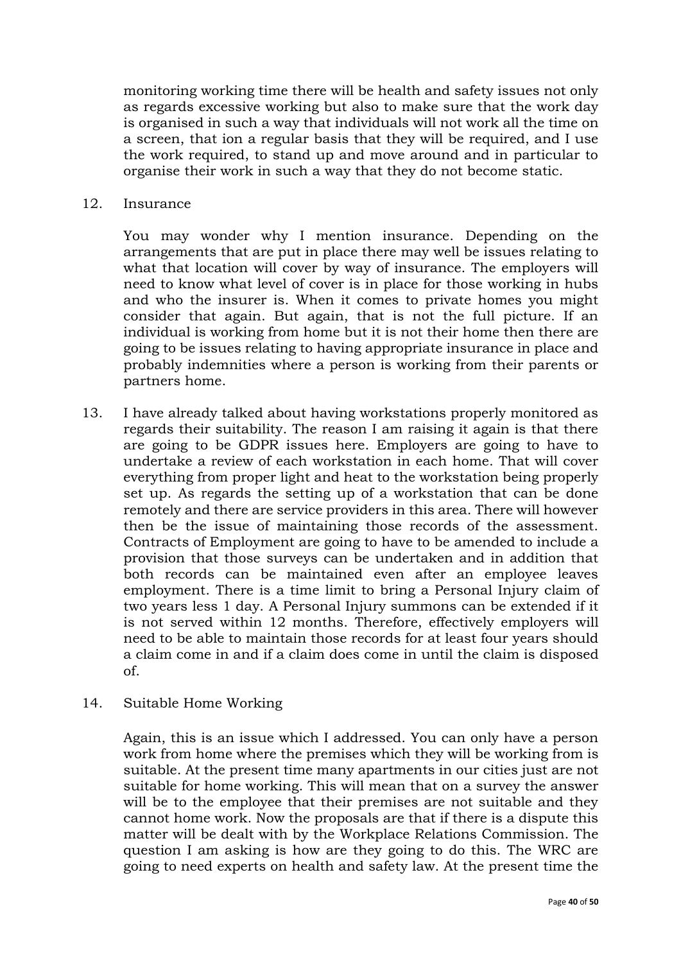monitoring working time there will be health and safety issues not only as regards excessive working but also to make sure that the work day is organised in such a way that individuals will not work all the time on a screen, that ion a regular basis that they will be required, and I use the work required, to stand up and move around and in particular to organise their work in such a way that they do not become static.

12. Insurance

You may wonder why I mention insurance. Depending on the arrangements that are put in place there may well be issues relating to what that location will cover by way of insurance. The employers will need to know what level of cover is in place for those working in hubs and who the insurer is. When it comes to private homes you might consider that again. But again, that is not the full picture. If an individual is working from home but it is not their home then there are going to be issues relating to having appropriate insurance in place and probably indemnities where a person is working from their parents or partners home.

- 13. I have already talked about having workstations properly monitored as regards their suitability. The reason I am raising it again is that there are going to be GDPR issues here. Employers are going to have to undertake a review of each workstation in each home. That will cover everything from proper light and heat to the workstation being properly set up. As regards the setting up of a workstation that can be done remotely and there are service providers in this area. There will however then be the issue of maintaining those records of the assessment. Contracts of Employment are going to have to be amended to include a provision that those surveys can be undertaken and in addition that both records can be maintained even after an employee leaves employment. There is a time limit to bring a Personal Injury claim of two years less 1 day. A Personal Injury summons can be extended if it is not served within 12 months. Therefore, effectively employers will need to be able to maintain those records for at least four years should a claim come in and if a claim does come in until the claim is disposed of.
- 14. Suitable Home Working

Again, this is an issue which I addressed. You can only have a person work from home where the premises which they will be working from is suitable. At the present time many apartments in our cities just are not suitable for home working. This will mean that on a survey the answer will be to the employee that their premises are not suitable and they cannot home work. Now the proposals are that if there is a dispute this matter will be dealt with by the Workplace Relations Commission. The question I am asking is how are they going to do this. The WRC are going to need experts on health and safety law. At the present time the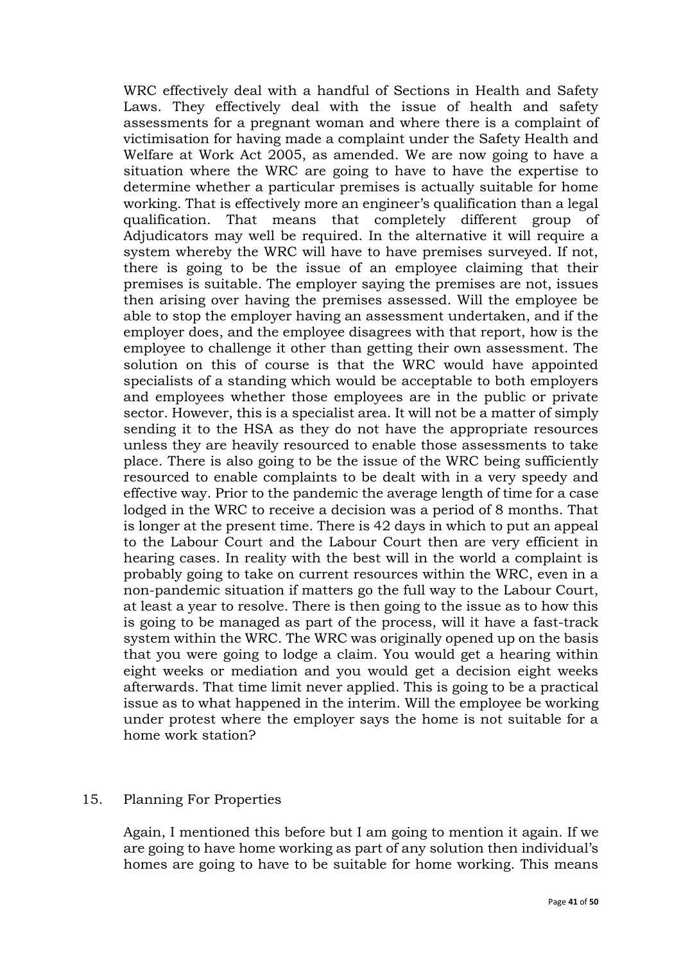WRC effectively deal with a handful of Sections in Health and Safety Laws. They effectively deal with the issue of health and safety assessments for a pregnant woman and where there is a complaint of victimisation for having made a complaint under the Safety Health and Welfare at Work Act 2005, as amended. We are now going to have a situation where the WRC are going to have to have the expertise to determine whether a particular premises is actually suitable for home working. That is effectively more an engineer's qualification than a legal qualification. That means that completely different group of Adjudicators may well be required. In the alternative it will require a system whereby the WRC will have to have premises surveyed. If not, there is going to be the issue of an employee claiming that their premises is suitable. The employer saying the premises are not, issues then arising over having the premises assessed. Will the employee be able to stop the employer having an assessment undertaken, and if the employer does, and the employee disagrees with that report, how is the employee to challenge it other than getting their own assessment. The solution on this of course is that the WRC would have appointed specialists of a standing which would be acceptable to both employers and employees whether those employees are in the public or private sector. However, this is a specialist area. It will not be a matter of simply sending it to the HSA as they do not have the appropriate resources unless they are heavily resourced to enable those assessments to take place. There is also going to be the issue of the WRC being sufficiently resourced to enable complaints to be dealt with in a very speedy and effective way. Prior to the pandemic the average length of time for a case lodged in the WRC to receive a decision was a period of 8 months. That is longer at the present time. There is 42 days in which to put an appeal to the Labour Court and the Labour Court then are very efficient in hearing cases. In reality with the best will in the world a complaint is probably going to take on current resources within the WRC, even in a non-pandemic situation if matters go the full way to the Labour Court, at least a year to resolve. There is then going to the issue as to how this is going to be managed as part of the process, will it have a fast-track system within the WRC. The WRC was originally opened up on the basis that you were going to lodge a claim. You would get a hearing within eight weeks or mediation and you would get a decision eight weeks afterwards. That time limit never applied. This is going to be a practical issue as to what happened in the interim. Will the employee be working under protest where the employer says the home is not suitable for a home work station?

#### 15. Planning For Properties

Again, I mentioned this before but I am going to mention it again. If we are going to have home working as part of any solution then individual's homes are going to have to be suitable for home working. This means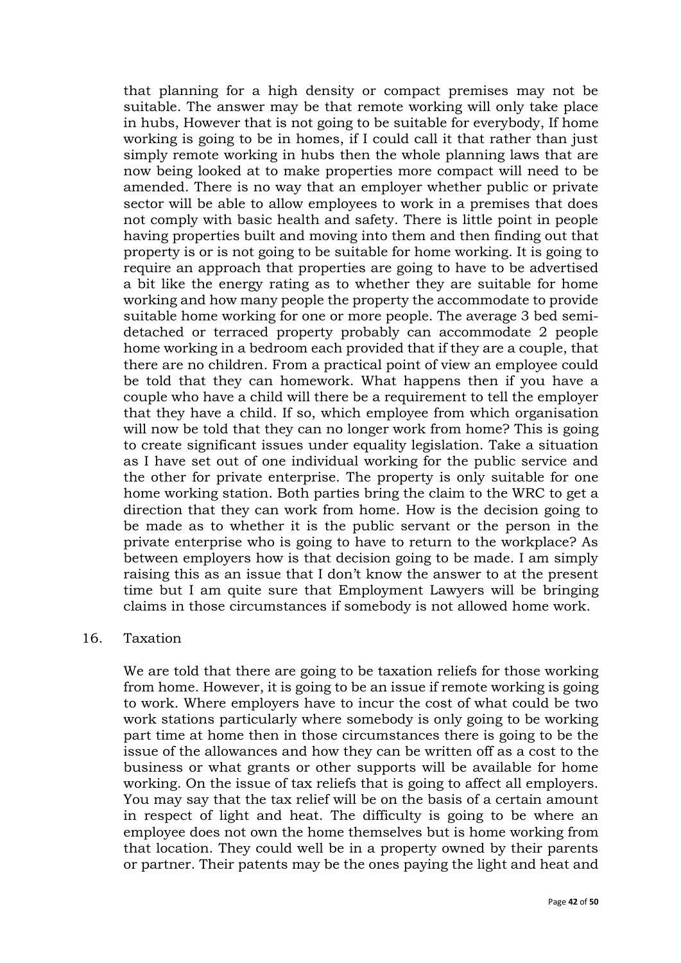that planning for a high density or compact premises may not be suitable. The answer may be that remote working will only take place in hubs, However that is not going to be suitable for everybody, If home working is going to be in homes, if I could call it that rather than just simply remote working in hubs then the whole planning laws that are now being looked at to make properties more compact will need to be amended. There is no way that an employer whether public or private sector will be able to allow employees to work in a premises that does not comply with basic health and safety. There is little point in people having properties built and moving into them and then finding out that property is or is not going to be suitable for home working. It is going to require an approach that properties are going to have to be advertised a bit like the energy rating as to whether they are suitable for home working and how many people the property the accommodate to provide suitable home working for one or more people. The average 3 bed semidetached or terraced property probably can accommodate 2 people home working in a bedroom each provided that if they are a couple, that there are no children. From a practical point of view an employee could be told that they can homework. What happens then if you have a couple who have a child will there be a requirement to tell the employer that they have a child. If so, which employee from which organisation will now be told that they can no longer work from home? This is going to create significant issues under equality legislation. Take a situation as I have set out of one individual working for the public service and the other for private enterprise. The property is only suitable for one home working station. Both parties bring the claim to the WRC to get a direction that they can work from home. How is the decision going to be made as to whether it is the public servant or the person in the private enterprise who is going to have to return to the workplace? As between employers how is that decision going to be made. I am simply raising this as an issue that I don't know the answer to at the present time but I am quite sure that Employment Lawyers will be bringing claims in those circumstances if somebody is not allowed home work.

#### 16. Taxation

We are told that there are going to be taxation reliefs for those working from home. However, it is going to be an issue if remote working is going to work. Where employers have to incur the cost of what could be two work stations particularly where somebody is only going to be working part time at home then in those circumstances there is going to be the issue of the allowances and how they can be written off as a cost to the business or what grants or other supports will be available for home working. On the issue of tax reliefs that is going to affect all employers. You may say that the tax relief will be on the basis of a certain amount in respect of light and heat. The difficulty is going to be where an employee does not own the home themselves but is home working from that location. They could well be in a property owned by their parents or partner. Their patents may be the ones paying the light and heat and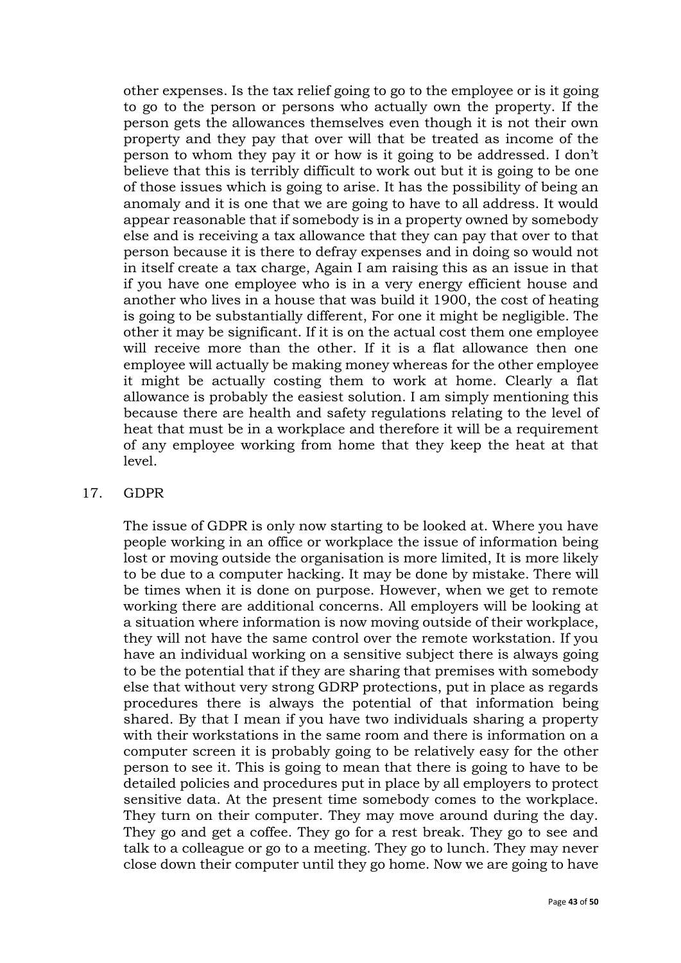other expenses. Is the tax relief going to go to the employee or is it going to go to the person or persons who actually own the property. If the person gets the allowances themselves even though it is not their own property and they pay that over will that be treated as income of the person to whom they pay it or how is it going to be addressed. I don't believe that this is terribly difficult to work out but it is going to be one of those issues which is going to arise. It has the possibility of being an anomaly and it is one that we are going to have to all address. It would appear reasonable that if somebody is in a property owned by somebody else and is receiving a tax allowance that they can pay that over to that person because it is there to defray expenses and in doing so would not in itself create a tax charge, Again I am raising this as an issue in that if you have one employee who is in a very energy efficient house and another who lives in a house that was build it 1900, the cost of heating is going to be substantially different, For one it might be negligible. The other it may be significant. If it is on the actual cost them one employee will receive more than the other. If it is a flat allowance then one employee will actually be making money whereas for the other employee it might be actually costing them to work at home. Clearly a flat allowance is probably the easiest solution. I am simply mentioning this because there are health and safety regulations relating to the level of heat that must be in a workplace and therefore it will be a requirement of any employee working from home that they keep the heat at that level.

#### 17. GDPR

The issue of GDPR is only now starting to be looked at. Where you have people working in an office or workplace the issue of information being lost or moving outside the organisation is more limited, It is more likely to be due to a computer hacking. It may be done by mistake. There will be times when it is done on purpose. However, when we get to remote working there are additional concerns. All employers will be looking at a situation where information is now moving outside of their workplace, they will not have the same control over the remote workstation. If you have an individual working on a sensitive subject there is always going to be the potential that if they are sharing that premises with somebody else that without very strong GDRP protections, put in place as regards procedures there is always the potential of that information being shared. By that I mean if you have two individuals sharing a property with their workstations in the same room and there is information on a computer screen it is probably going to be relatively easy for the other person to see it. This is going to mean that there is going to have to be detailed policies and procedures put in place by all employers to protect sensitive data. At the present time somebody comes to the workplace. They turn on their computer. They may move around during the day. They go and get a coffee. They go for a rest break. They go to see and talk to a colleague or go to a meeting. They go to lunch. They may never close down their computer until they go home. Now we are going to have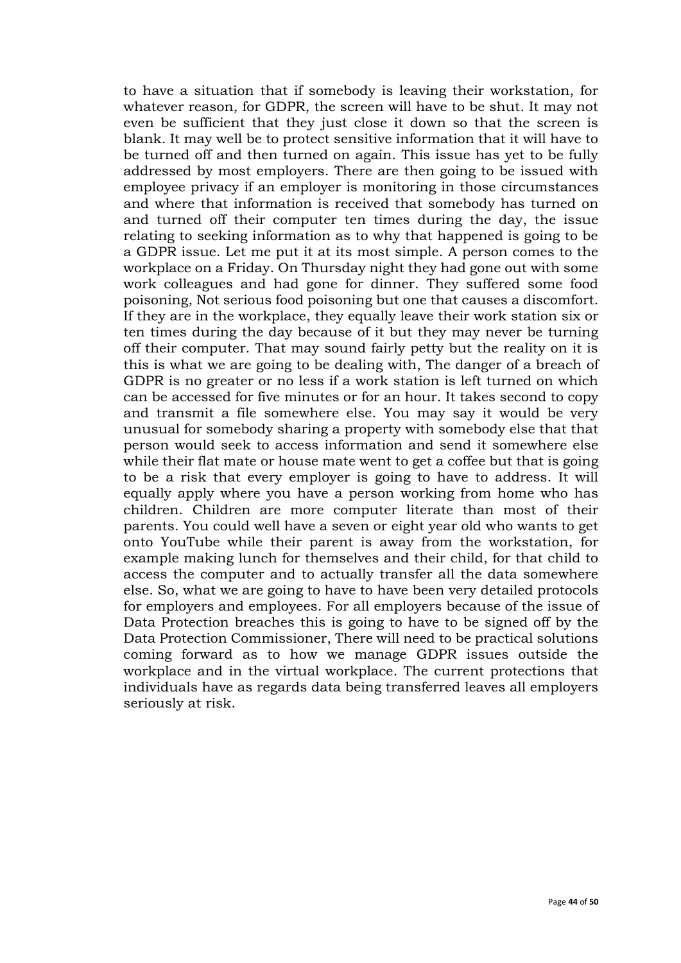to have a situation that if somebody is leaving their workstation, for whatever reason, for GDPR, the screen will have to be shut. It may not even be sufficient that they just close it down so that the screen is blank. It may well be to protect sensitive information that it will have to be turned off and then turned on again. This issue has yet to be fully addressed by most employers. There are then going to be issued with employee privacy if an employer is monitoring in those circumstances and where that information is received that somebody has turned on and turned off their computer ten times during the day, the issue relating to seeking information as to why that happened is going to be a GDPR issue. Let me put it at its most simple. A person comes to the workplace on a Friday. On Thursday night they had gone out with some work colleagues and had gone for dinner. They suffered some food poisoning, Not serious food poisoning but one that causes a discomfort. If they are in the workplace, they equally leave their work station six or ten times during the day because of it but they may never be turning off their computer. That may sound fairly petty but the reality on it is this is what we are going to be dealing with, The danger of a breach of GDPR is no greater or no less if a work station is left turned on which can be accessed for five minutes or for an hour. It takes second to copy and transmit a file somewhere else. You may say it would be very unusual for somebody sharing a property with somebody else that that person would seek to access information and send it somewhere else while their flat mate or house mate went to get a coffee but that is going to be a risk that every employer is going to have to address. It will equally apply where you have a person working from home who has children. Children are more computer literate than most of their parents. You could well have a seven or eight year old who wants to get onto YouTube while their parent is away from the workstation, for example making lunch for themselves and their child, for that child to access the computer and to actually transfer all the data somewhere else. So, what we are going to have to have been very detailed protocols for employers and employees. For all employers because of the issue of Data Protection breaches this is going to have to be signed off by the Data Protection Commissioner, There will need to be practical solutions coming forward as to how we manage GDPR issues outside the workplace and in the virtual workplace. The current protections that individuals have as regards data being transferred leaves all employers seriously at risk.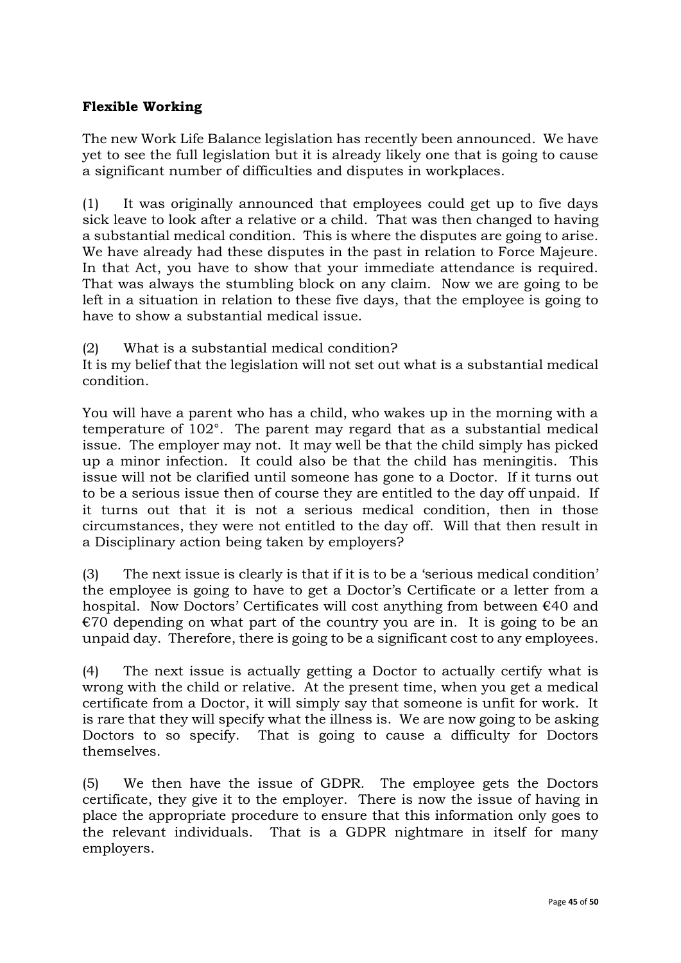# **Flexible Working**

The new Work Life Balance legislation has recently been announced. We have yet to see the full legislation but it is already likely one that is going to cause a significant number of difficulties and disputes in workplaces.

(1) It was originally announced that employees could get up to five days sick leave to look after a relative or a child. That was then changed to having a substantial medical condition. This is where the disputes are going to arise. We have already had these disputes in the past in relation to Force Majeure. In that Act, you have to show that your immediate attendance is required. That was always the stumbling block on any claim. Now we are going to be left in a situation in relation to these five days, that the employee is going to have to show a substantial medical issue.

(2) What is a substantial medical condition?

It is my belief that the legislation will not set out what is a substantial medical condition.

You will have a parent who has a child, who wakes up in the morning with a temperature of 102°. The parent may regard that as a substantial medical issue. The employer may not. It may well be that the child simply has picked up a minor infection. It could also be that the child has meningitis. This issue will not be clarified until someone has gone to a Doctor. If it turns out to be a serious issue then of course they are entitled to the day off unpaid. If it turns out that it is not a serious medical condition, then in those circumstances, they were not entitled to the day off. Will that then result in a Disciplinary action being taken by employers?

(3) The next issue is clearly is that if it is to be a 'serious medical condition' the employee is going to have to get a Doctor's Certificate or a letter from a hospital. Now Doctors' Certificates will cost anything from between €40 and  $€70$  depending on what part of the country you are in. It is going to be an unpaid day. Therefore, there is going to be a significant cost to any employees.

(4) The next issue is actually getting a Doctor to actually certify what is wrong with the child or relative. At the present time, when you get a medical certificate from a Doctor, it will simply say that someone is unfit for work. It is rare that they will specify what the illness is. We are now going to be asking Doctors to so specify. That is going to cause a difficulty for Doctors themselves.

(5) We then have the issue of GDPR. The employee gets the Doctors certificate, they give it to the employer. There is now the issue of having in place the appropriate procedure to ensure that this information only goes to the relevant individuals. That is a GDPR nightmare in itself for many employers.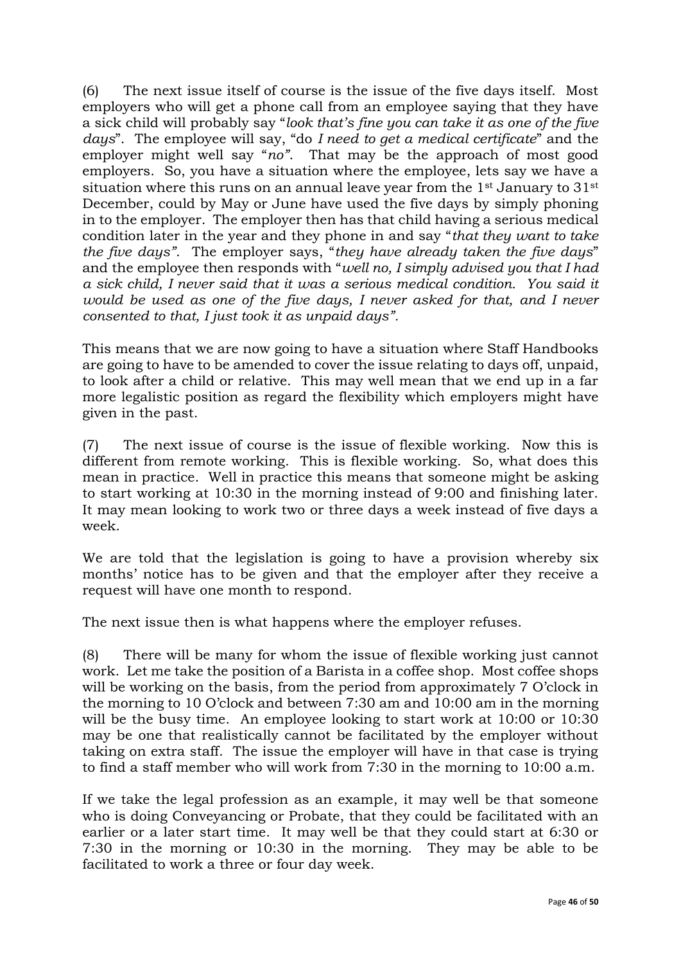(6) The next issue itself of course is the issue of the five days itself. Most employers who will get a phone call from an employee saying that they have a sick child will probably say "*look that's fine you can take it as one of the five days*". The employee will say, "do *I need to get a medical certificate*" and the employer might well say "*no"*. That may be the approach of most good employers. So, you have a situation where the employee, lets say we have a situation where this runs on an annual leave year from the 1st January to 31st December, could by May or June have used the five days by simply phoning in to the employer. The employer then has that child having a serious medical condition later in the year and they phone in and say "*that they want to take the five days"*. The employer says, "*they have already taken the five days*" and the employee then responds with "*well no, I simply advised you that I had a sick child, I never said that it was a serious medical condition. You said it would be used as one of the five days, I never asked for that, and I never consented to that, I just took it as unpaid days".*

This means that we are now going to have a situation where Staff Handbooks are going to have to be amended to cover the issue relating to days off, unpaid, to look after a child or relative. This may well mean that we end up in a far more legalistic position as regard the flexibility which employers might have given in the past.

(7) The next issue of course is the issue of flexible working. Now this is different from remote working. This is flexible working. So, what does this mean in practice. Well in practice this means that someone might be asking to start working at 10:30 in the morning instead of 9:00 and finishing later. It may mean looking to work two or three days a week instead of five days a week.

We are told that the legislation is going to have a provision whereby six months' notice has to be given and that the employer after they receive a request will have one month to respond.

The next issue then is what happens where the employer refuses.

(8) There will be many for whom the issue of flexible working just cannot work. Let me take the position of a Barista in a coffee shop. Most coffee shops will be working on the basis, from the period from approximately 7 O'clock in the morning to 10 O'clock and between 7:30 am and 10:00 am in the morning will be the busy time. An employee looking to start work at 10:00 or 10:30 may be one that realistically cannot be facilitated by the employer without taking on extra staff. The issue the employer will have in that case is trying to find a staff member who will work from 7:30 in the morning to 10:00 a.m.

If we take the legal profession as an example, it may well be that someone who is doing Conveyancing or Probate, that they could be facilitated with an earlier or a later start time. It may well be that they could start at 6:30 or 7:30 in the morning or 10:30 in the morning. They may be able to be facilitated to work a three or four day week.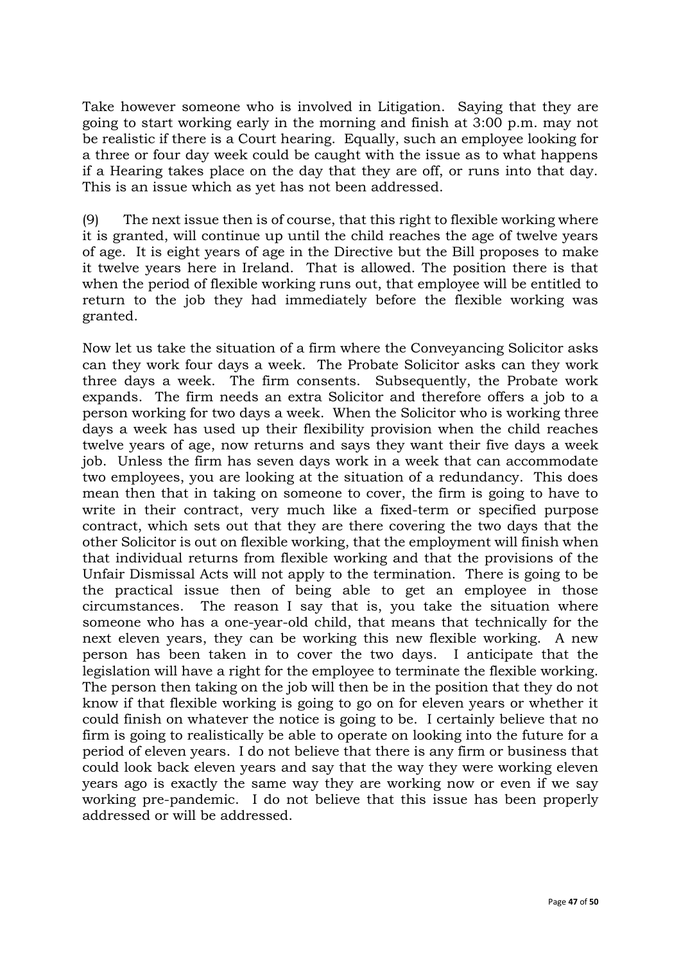Take however someone who is involved in Litigation. Saying that they are going to start working early in the morning and finish at 3:00 p.m. may not be realistic if there is a Court hearing. Equally, such an employee looking for a three or four day week could be caught with the issue as to what happens if a Hearing takes place on the day that they are off, or runs into that day. This is an issue which as yet has not been addressed.

(9) The next issue then is of course, that this right to flexible working where it is granted, will continue up until the child reaches the age of twelve years of age. It is eight years of age in the Directive but the Bill proposes to make it twelve years here in Ireland. That is allowed. The position there is that when the period of flexible working runs out, that employee will be entitled to return to the job they had immediately before the flexible working was granted.

Now let us take the situation of a firm where the Conveyancing Solicitor asks can they work four days a week. The Probate Solicitor asks can they work three days a week. The firm consents. Subsequently, the Probate work expands. The firm needs an extra Solicitor and therefore offers a job to a person working for two days a week. When the Solicitor who is working three days a week has used up their flexibility provision when the child reaches twelve years of age, now returns and says they want their five days a week job. Unless the firm has seven days work in a week that can accommodate two employees, you are looking at the situation of a redundancy. This does mean then that in taking on someone to cover, the firm is going to have to write in their contract, very much like a fixed-term or specified purpose contract, which sets out that they are there covering the two days that the other Solicitor is out on flexible working, that the employment will finish when that individual returns from flexible working and that the provisions of the Unfair Dismissal Acts will not apply to the termination. There is going to be the practical issue then of being able to get an employee in those circumstances. The reason I say that is, you take the situation where someone who has a one-year-old child, that means that technically for the next eleven years, they can be working this new flexible working. A new person has been taken in to cover the two days. I anticipate that the legislation will have a right for the employee to terminate the flexible working. The person then taking on the job will then be in the position that they do not know if that flexible working is going to go on for eleven years or whether it could finish on whatever the notice is going to be. I certainly believe that no firm is going to realistically be able to operate on looking into the future for a period of eleven years. I do not believe that there is any firm or business that could look back eleven years and say that the way they were working eleven years ago is exactly the same way they are working now or even if we say working pre-pandemic. I do not believe that this issue has been properly addressed or will be addressed.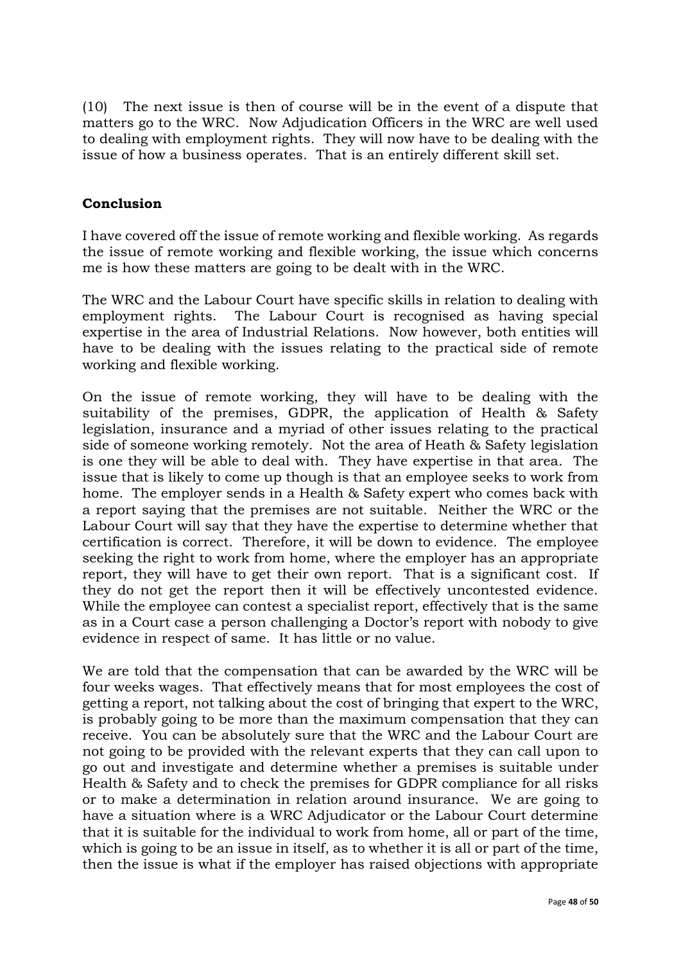(10) The next issue is then of course will be in the event of a dispute that matters go to the WRC. Now Adjudication Officers in the WRC are well used to dealing with employment rights. They will now have to be dealing with the issue of how a business operates. That is an entirely different skill set.

## **Conclusion**

I have covered off the issue of remote working and flexible working. As regards the issue of remote working and flexible working, the issue which concerns me is how these matters are going to be dealt with in the WRC.

The WRC and the Labour Court have specific skills in relation to dealing with employment rights. The Labour Court is recognised as having special expertise in the area of Industrial Relations. Now however, both entities will have to be dealing with the issues relating to the practical side of remote working and flexible working.

On the issue of remote working, they will have to be dealing with the suitability of the premises, GDPR, the application of Health & Safety legislation, insurance and a myriad of other issues relating to the practical side of someone working remotely. Not the area of Heath & Safety legislation is one they will be able to deal with. They have expertise in that area. The issue that is likely to come up though is that an employee seeks to work from home. The employer sends in a Health & Safety expert who comes back with a report saying that the premises are not suitable. Neither the WRC or the Labour Court will say that they have the expertise to determine whether that certification is correct. Therefore, it will be down to evidence. The employee seeking the right to work from home, where the employer has an appropriate report, they will have to get their own report. That is a significant cost. If they do not get the report then it will be effectively uncontested evidence. While the employee can contest a specialist report, effectively that is the same as in a Court case a person challenging a Doctor's report with nobody to give evidence in respect of same. It has little or no value.

We are told that the compensation that can be awarded by the WRC will be four weeks wages. That effectively means that for most employees the cost of getting a report, not talking about the cost of bringing that expert to the WRC, is probably going to be more than the maximum compensation that they can receive. You can be absolutely sure that the WRC and the Labour Court are not going to be provided with the relevant experts that they can call upon to go out and investigate and determine whether a premises is suitable under Health & Safety and to check the premises for GDPR compliance for all risks or to make a determination in relation around insurance. We are going to have a situation where is a WRC Adjudicator or the Labour Court determine that it is suitable for the individual to work from home, all or part of the time, which is going to be an issue in itself, as to whether it is all or part of the time, then the issue is what if the employer has raised objections with appropriate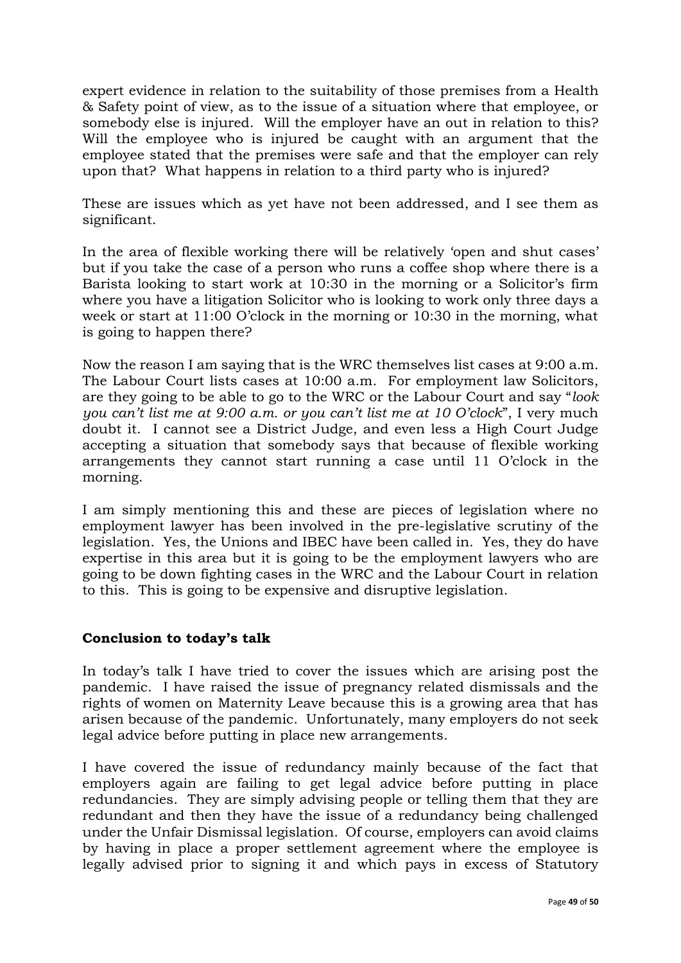expert evidence in relation to the suitability of those premises from a Health & Safety point of view, as to the issue of a situation where that employee, or somebody else is injured. Will the employer have an out in relation to this? Will the employee who is injured be caught with an argument that the employee stated that the premises were safe and that the employer can rely upon that? What happens in relation to a third party who is injured?

These are issues which as yet have not been addressed, and I see them as significant.

In the area of flexible working there will be relatively 'open and shut cases' but if you take the case of a person who runs a coffee shop where there is a Barista looking to start work at 10:30 in the morning or a Solicitor's firm where you have a litigation Solicitor who is looking to work only three days a week or start at 11:00 O'clock in the morning or 10:30 in the morning, what is going to happen there?

Now the reason I am saying that is the WRC themselves list cases at 9:00 a.m. The Labour Court lists cases at 10:00 a.m. For employment law Solicitors, are they going to be able to go to the WRC or the Labour Court and say "*look you can't list me at 9:00 a.m. or you can't list me at 10 O'clock*", I very much doubt it. I cannot see a District Judge, and even less a High Court Judge accepting a situation that somebody says that because of flexible working arrangements they cannot start running a case until 11 O'clock in the morning.

I am simply mentioning this and these are pieces of legislation where no employment lawyer has been involved in the pre-legislative scrutiny of the legislation. Yes, the Unions and IBEC have been called in. Yes, they do have expertise in this area but it is going to be the employment lawyers who are going to be down fighting cases in the WRC and the Labour Court in relation to this. This is going to be expensive and disruptive legislation.

## **Conclusion to today's talk**

In today's talk I have tried to cover the issues which are arising post the pandemic. I have raised the issue of pregnancy related dismissals and the rights of women on Maternity Leave because this is a growing area that has arisen because of the pandemic. Unfortunately, many employers do not seek legal advice before putting in place new arrangements.

I have covered the issue of redundancy mainly because of the fact that employers again are failing to get legal advice before putting in place redundancies. They are simply advising people or telling them that they are redundant and then they have the issue of a redundancy being challenged under the Unfair Dismissal legislation. Of course, employers can avoid claims by having in place a proper settlement agreement where the employee is legally advised prior to signing it and which pays in excess of Statutory